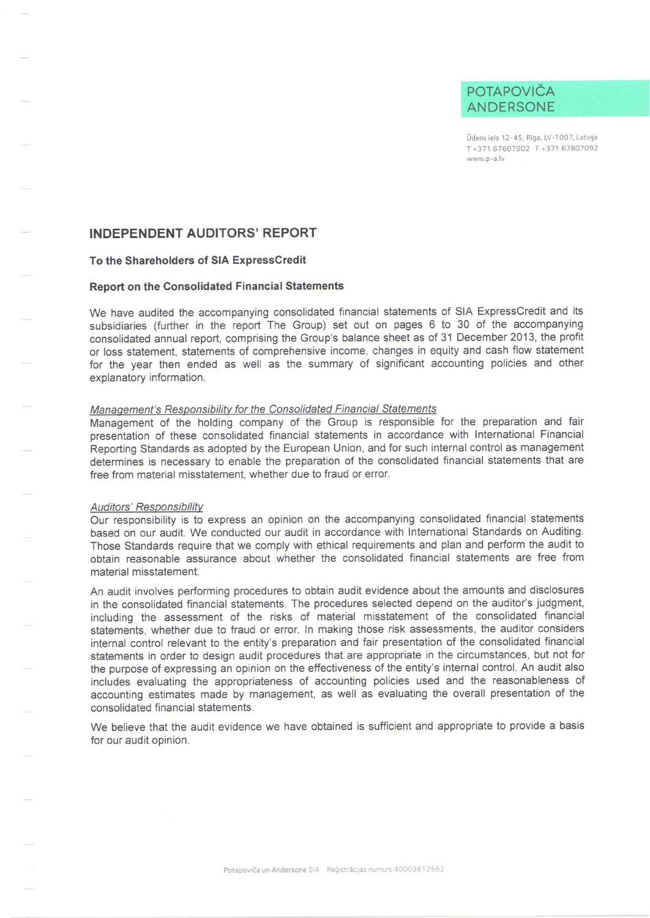

Ūdens iela 12-45, Rīga, LV-1007, Latvija T+371 67607902 F+371 67807092 www.p-a.lv

# **INDEPENDENT AUDITORS' REPORT**

### To the Shareholders of SIA ExpressCredit

# **Report on the Consolidated Financial Statements**

We have audited the accompanying consolidated financial statements of SIA ExpressCredit and its subsidiaries (further in the report The Group) set out on pages 6 to 30 of the accompanying consolidated annual report, comprising the Group's balance sheet as of 31 December 2013, the profit or loss statement, statements of comprehensive income, changes in equity and cash flow statement for the year then ended as well as the summary of significant accounting policies and other explanatory information.

# Management's Responsibility for the Consolidated Financial Statements

Management of the holding company of the Group is responsible for the preparation and fair presentation of these consolidated financial statements in accordance with International Financial Reporting Standards as adopted by the European Union, and for such internal control as management determines is necessary to enable the preparation of the consolidated financial statements that are free from material misstatement, whether due to fraud or error.

### **Auditors' Responsibility**

Our responsibility is to express an opinion on the accompanying consolidated financial statements based on our audit. We conducted our audit in accordance with International Standards on Auditing. Those Standards require that we comply with ethical requirements and plan and perform the audit to obtain reasonable assurance about whether the consolidated financial statements are free from material misstatement.

An audit involves performing procedures to obtain audit evidence about the amounts and disclosures in the consolidated financial statements. The procedures selected depend on the auditor's judgment, including the assessment of the risks of material misstatement of the consolidated financial statements, whether due to fraud or error. In making those risk assessments, the auditor considers internal control relevant to the entity's preparation and fair presentation of the consolidated financial statements in order to design audit procedures that are appropriate in the circumstances, but not for the purpose of expressing an opinion on the effectiveness of the entity's internal control. An audit also includes evaluating the appropriateness of accounting policies used and the reasonableness of accounting estimates made by management, as well as evaluating the overall presentation of the consolidated financial statements.

We believe that the audit evidence we have obtained is sufficient and appropriate to provide a basis for our audit opinion.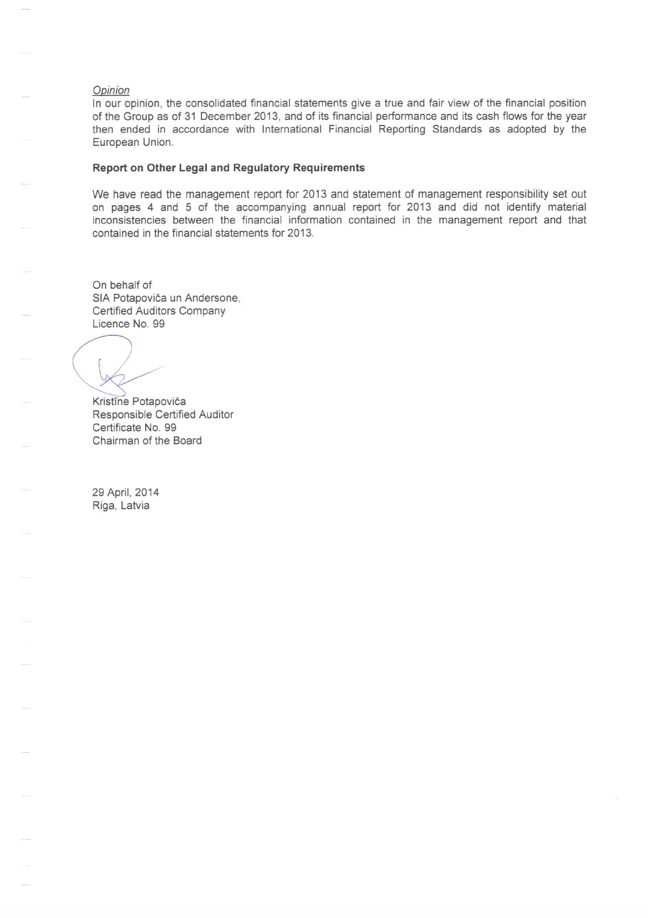### Opinion

In our opinion, the consolidated financial statements give a true and fair view of the financial position of the Group as of 31 December 2013, and of its financial performance and its cash flows for the year then ended in accordance with International Financial Reporting Standards as adopted by the European Union.

### Report on Other Legal and Regulatory Requirements

We have read the management report for 2013 and statement of management responsibility set out on pages 4 and 5 of the accompanying annual report for 2013 and did not identify material inconsistencies between the financial information contained in the management report and that contained in the financial statements for 2013.

On behalf of SIA Potapoviča un Andersone, **Certified Auditors Company** Licence No. 99

Kristīne Potapoviča Responsible Certified Auditor Certificate No. 99 Chairman of the Board

29 April, 2014 Riga, Latvia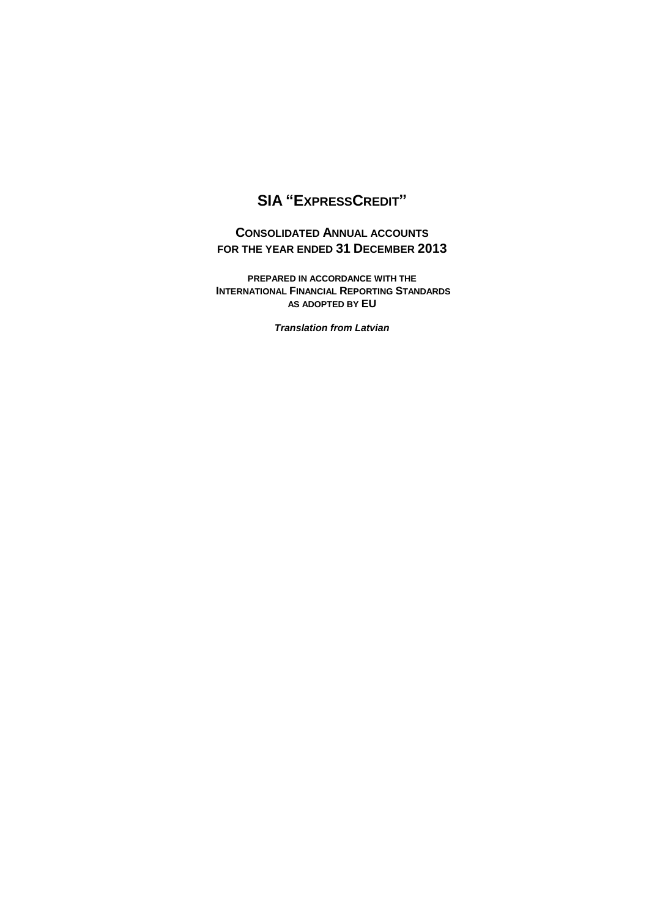# **SIA "EXPRESSCREDIT"**

# **CONSOLIDATED ANNUAL ACCOUNTS FOR THE YEAR ENDED 31 DECEMBER 2013**

**PREPARED IN ACCORDANCE WITH THE INTERNATIONAL FINANCIAL REPORTING STANDARDS AS ADOPTED BY EU**

*Translation from Latvian*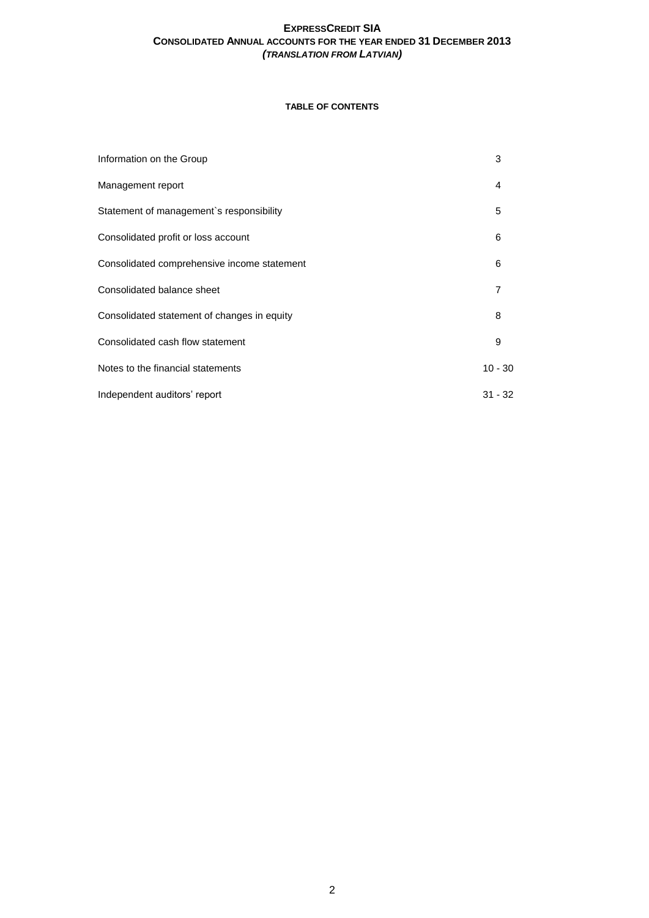### **TABLE OF CONTENTS**

| Information on the Group                    | 3         |
|---------------------------------------------|-----------|
| Management report                           | 4         |
| Statement of management's responsibility    | 5         |
| Consolidated profit or loss account         | 6         |
| Consolidated comprehensive income statement | 6         |
| Consolidated balance sheet                  | 7         |
| Consolidated statement of changes in equity | 8         |
| Consolidated cash flow statement            | 9         |
| Notes to the financial statements           | $10 - 30$ |
| Independent auditors' report                | $31 - 32$ |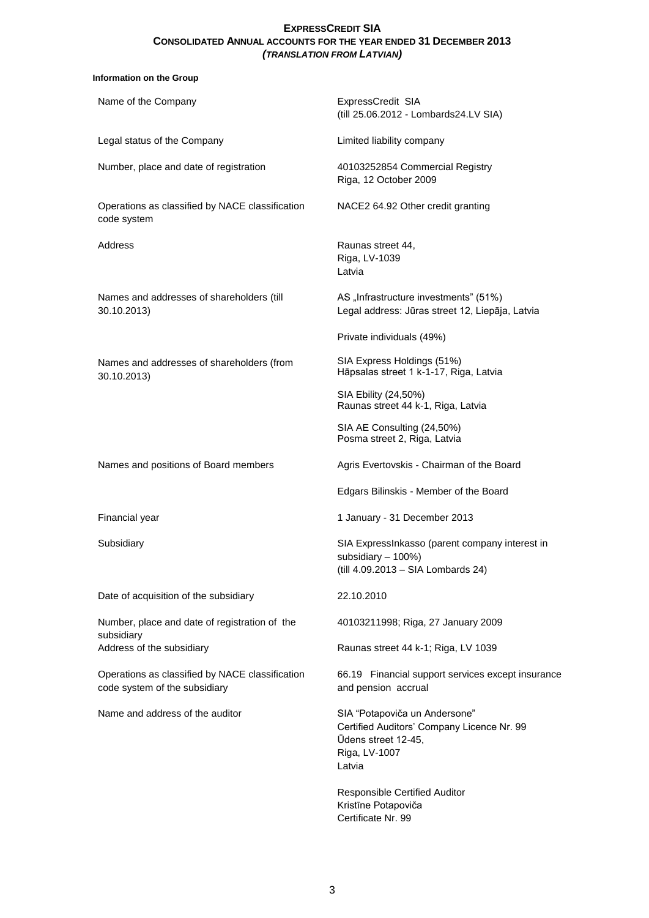# **Information on the Group**

| Name of the Company                                                              | ExpressCredit SIA<br>(till 25.06.2012 - Lombards24.LV SIA)                                                                    |
|----------------------------------------------------------------------------------|-------------------------------------------------------------------------------------------------------------------------------|
| Legal status of the Company                                                      | Limited liability company                                                                                                     |
| Number, place and date of registration                                           | 40103252854 Commercial Registry<br>Riga, 12 October 2009                                                                      |
| Operations as classified by NACE classification<br>code system                   | NACE2 64.92 Other credit granting                                                                                             |
| Address                                                                          | Raunas street 44,<br>Riga, LV-1039<br>Latvia                                                                                  |
| Names and addresses of shareholders (till<br>30.10.2013)                         | AS "Infrastructure investments" (51%)<br>Legal address: Jūras street 12, Liepāja, Latvia                                      |
|                                                                                  | Private individuals (49%)                                                                                                     |
| Names and addresses of shareholders (from<br>30.10.2013)                         | SIA Express Holdings (51%)<br>Hāpsalas street 1 k-1-17, Riga, Latvia                                                          |
|                                                                                  | SIA Ebility (24,50%)<br>Raunas street 44 k-1, Riga, Latvia                                                                    |
|                                                                                  | SIA AE Consulting (24,50%)<br>Posma street 2, Riga, Latvia                                                                    |
| Names and positions of Board members                                             | Agris Evertovskis - Chairman of the Board                                                                                     |
|                                                                                  | Edgars Bilinskis - Member of the Board                                                                                        |
| Financial year                                                                   | 1 January - 31 December 2013                                                                                                  |
| Subsidiary                                                                       | SIA ExpressInkasso (parent company interest in<br>subsidiary - 100%)<br>(till 4.09.2013 - SIA Lombards 24)                    |
| Date of acquisition of the subsidiary                                            | 22.10.2010                                                                                                                    |
| Number, place and date of registration of the<br>subsidiary                      | 40103211998; Riga, 27 January 2009                                                                                            |
| Address of the subsidiary                                                        | Raunas street 44 k-1; Riga, LV 1039                                                                                           |
| Operations as classified by NACE classification<br>code system of the subsidiary | 66.19 Financial support services except insurance<br>and pension accrual                                                      |
| Name and address of the auditor                                                  | SIA "Potapoviča un Andersone"<br>Certified Auditors' Company Licence Nr. 99<br>Üdens street 12-45,<br>Riga, LV-1007<br>Latvia |
|                                                                                  | Responsible Certified Auditor<br>Kristīne Potapoviča                                                                          |

3

Certificate Nr. 99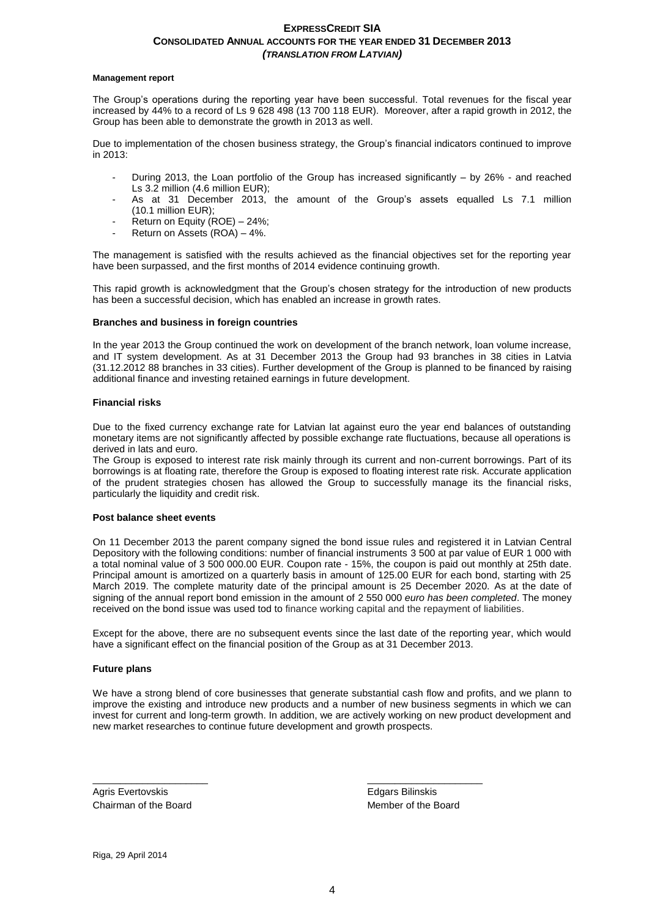#### **Management report**

The Group's operations during the reporting year have been successful. Total revenues for the fiscal year increased by 44% to a record of Ls 9 628 498 (13 700 118 EUR). Moreover, after a rapid growth in 2012, the Group has been able to demonstrate the growth in 2013 as well.

Due to implementation of the chosen business strategy, the Group's financial indicators continued to improve in 2013:

- During 2013, the Loan portfolio of the Group has increased significantly by 26% and reached Ls 3.2 million (4.6 million EUR);
- As at 31 December 2013, the amount of the Group's assets equalled Ls 7.1 million (10.1 million EUR);
- Return on Equity  $(ROE) 24\%$ ;
- Return on Assets  $(ROA) 4\%$ .

The management is satisfied with the results achieved as the financial objectives set for the reporting year have been surpassed, and the first months of 2014 evidence continuing growth.

This rapid growth is acknowledgment that the Group's chosen strategy for the introduction of new products has been a successful decision, which has enabled an increase in growth rates.

### **Branches and business in foreign countries**

In the year 2013 the Group continued the work on development of the branch network, loan volume increase, and IT system development. As at 31 December 2013 the Group had 93 branches in 38 cities in Latvia (31.12.2012 88 branches in 33 cities). Further development of the Group is planned to be financed by raising additional finance and investing retained earnings in future development.

#### **Financial risks**

Due to the fixed currency exchange rate for Latvian lat against euro the year end balances of outstanding monetary items are not significantly affected by possible exchange rate fluctuations, because all operations is derived in lats and euro.

The Group is exposed to interest rate risk mainly through its current and non-current borrowings. Part of its borrowings is at floating rate, therefore the Group is exposed to floating interest rate risk. Accurate application of the prudent strategies chosen has allowed the Group to successfully manage its the financial risks, particularly the liquidity and credit risk.

### **Post balance sheet events**

On 11 December 2013 the parent company signed the bond issue rules and registered it in Latvian Central Depository with the following conditions: number of financial instruments 3 500 at par value of EUR 1 000 with a total nominal value of 3 500 000.00 EUR. Coupon rate - 15%, the coupon is paid out monthly at 25th date. Principal amount is amortized on a quarterly basis in amount of 125.00 EUR for each bond, starting with 25 March 2019. The complete maturity date of the principal amount is 25 December 2020. As at the date of signing of the annual report bond emission in the amount of 2 550 000 *euro has been completed*. The money received on the bond issue was used tod to finance working capital and the repayment of liabilities.

Except for the above, there are no subsequent events since the last date of the reporting year, which would have a significant effect on the financial position of the Group as at 31 December 2013.

### **Future plans**

We have a strong blend of core businesses that generate substantial cash flow and profits, and we plann to improve the existing and introduce new products and a number of new business segments in which we can invest for current and long-term growth. In addition, we are actively working on new product development and new market researches to continue future development and growth prospects.

\_\_\_\_\_\_\_\_\_\_\_\_\_\_\_\_\_\_\_\_\_ \_\_\_\_\_\_\_\_\_\_\_\_\_\_\_\_\_\_\_\_\_

Agris Evertovskis **Example 2018** 2019 12:38 Edgars Bilinskis Chairman of the Board **Member of the Board** Member of the Board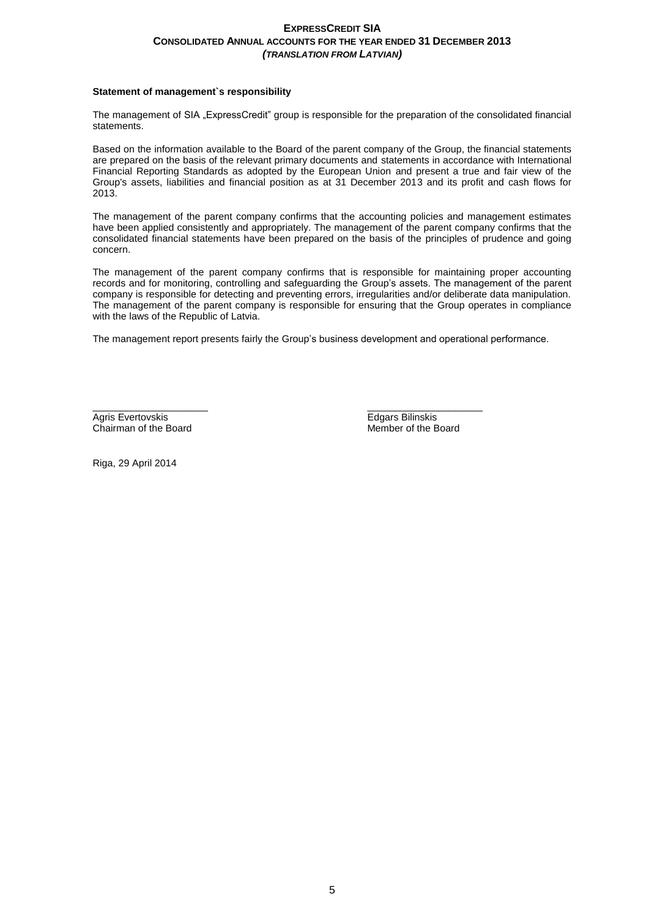### **Statement of management`s responsibility**

The management of SIA "ExpressCredit" group is responsible for the preparation of the consolidated financial statements.

Based on the information available to the Board of the parent company of the Group, the financial statements are prepared on the basis of the relevant primary documents and statements in accordance with International Financial Reporting Standards as adopted by the European Union and present a true and fair view of the Group's assets, liabilities and financial position as at 31 December 2013 and its profit and cash flows for 2013.

The management of the parent company confirms that the accounting policies and management estimates have been applied consistently and appropriately. The management of the parent company confirms that the consolidated financial statements have been prepared on the basis of the principles of prudence and going concern.

The management of the parent company confirms that is responsible for maintaining proper accounting records and for monitoring, controlling and safeguarding the Group's assets. The management of the parent company is responsible for detecting and preventing errors, irregularities and/or deliberate data manipulation. The management of the parent company is responsible for ensuring that the Group operates in compliance with the laws of the Republic of Latvia.

The management report presents fairly the Group's business development and operational performance.

\_\_\_\_\_\_\_\_\_\_\_\_\_\_\_\_\_\_\_\_\_ \_\_\_\_\_\_\_\_\_\_\_\_\_\_\_\_\_\_\_\_\_ Agris Evertovskis **Edgars Bilinskis**<br>
Chairman of the Board **Edgars** Member of the Board Chairman of the Board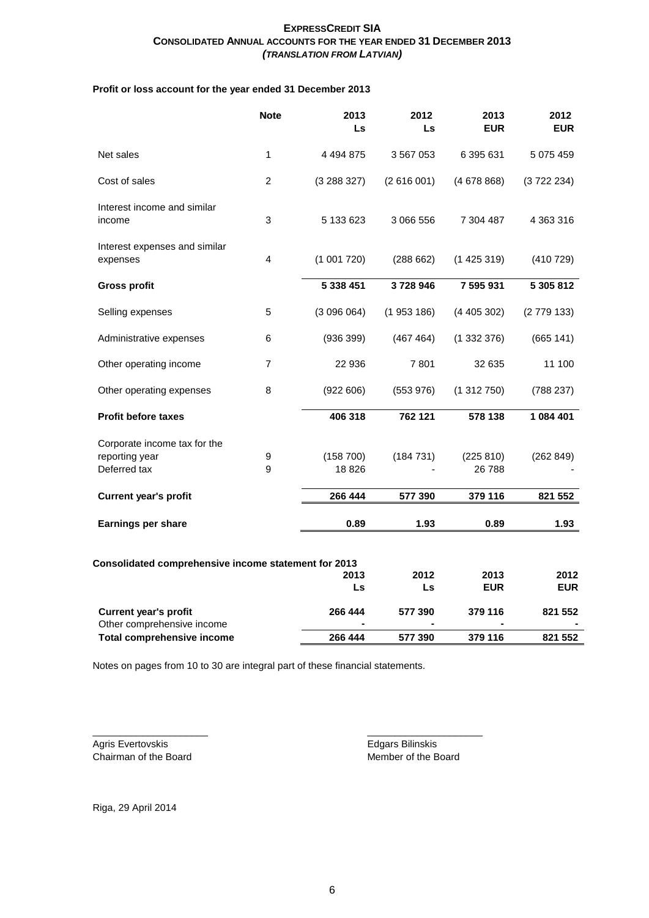### **Profit or loss account for the year ended 31 December 2013**

|                                                                | <b>Note</b>    | 2013<br><b>Ls</b> | 2012<br>Ls        | 2013<br><b>EUR</b>  | 2012<br><b>EUR</b> |
|----------------------------------------------------------------|----------------|-------------------|-------------------|---------------------|--------------------|
| Net sales                                                      | 1              | 4 4 9 4 8 7 5     | 3 567 053         | 6 395 631           | 5 075 459          |
| Cost of sales                                                  | $\overline{c}$ | (3 288 327)       | (2616001)         | (4678868)           | (3722234)          |
| Interest income and similar<br>income                          | 3              | 5 133 623         | 3 066 556         | 7 304 487           | 4 363 316          |
| Interest expenses and similar<br>expenses                      | 4              | (1001720)         | (288662)          | (1425319)           | (410729)           |
| <b>Gross profit</b>                                            |                | 5 338 451         | 3728946           | 7 595 931           | 5 305 812          |
| Selling expenses                                               | 5              | (3096064)         | (1953186)         | (4405302)           | (2779133)          |
| Administrative expenses                                        | 6              | (936 399)         | (467 464)         | (1332376)           | (665 141)          |
| Other operating income                                         | 7              | 22 936            | 7801              | 32 635              | 11 100             |
| Other operating expenses                                       | 8              | (922606)          | (553976)          | (1312750)           | (788 237)          |
| <b>Profit before taxes</b>                                     |                | 406 318           | 762 121           | 578 138             | 1 084 401          |
| Corporate income tax for the<br>reporting year<br>Deferred tax | 9<br>9         | (158700)<br>18826 | (184731)          | (225 810)<br>26 788 | (262 849)          |
| <b>Current year's profit</b>                                   |                | 266 444           | 577 390           | 379 116             | 821 552            |
| Earnings per share                                             |                | 0.89              | 1.93              | 0.89                | 1.93               |
| Consolidated comprehensive income statement for 2013           |                | 2013<br><b>Ls</b> | 2012<br><b>Ls</b> | 2013<br><b>EUR</b>  | 2012<br><b>EUR</b> |
| <b>Current year's profit</b><br>Other comprehensive income     |                | 266 444           | 577390            | 379 116             | 821 552            |
| <b>Total comprehensive income</b>                              |                | 266 444           | 577 390           | 379 116             | 821 552            |

Notes on pages from 10 to 30 are integral part of these financial statements.

Agris Evertovskis **Example 2018** Edgars Bilinskis Chairman of the Board **Member of the Board** Member of the Board

\_\_\_\_\_\_\_\_\_\_\_\_\_\_\_\_\_\_\_\_\_ \_\_\_\_\_\_\_\_\_\_\_\_\_\_\_\_\_\_\_\_\_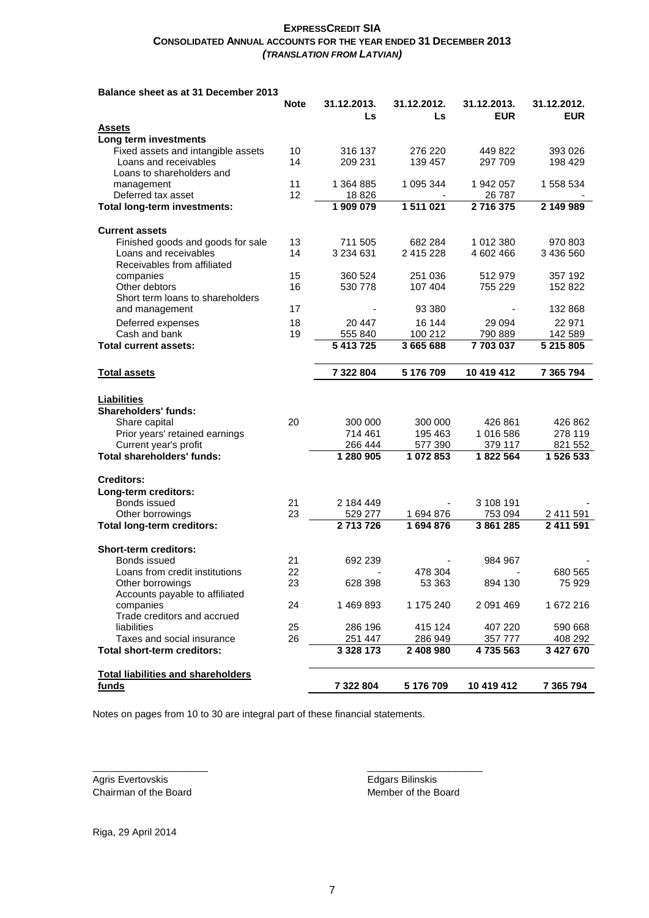| Balance sheet as at 31 December 2013 |  |
|--------------------------------------|--|
|--------------------------------------|--|

|                                           | <b>Note</b> | 31.12.2013.<br>Ls | 31.12.2012.<br>Ls | 31.12.2013.<br><b>EUR</b> | 31.12.2012.<br><b>EUR</b> |
|-------------------------------------------|-------------|-------------------|-------------------|---------------------------|---------------------------|
| <b>Assets</b>                             |             |                   |                   |                           |                           |
| Long term investments                     |             |                   |                   |                           |                           |
| Fixed assets and intangible assets        | 10          | 316 137           | 276 220           | 449 822                   | 393 026                   |
| Loans and receivables                     | 14          | 209 231           | 139 457           | 297 709                   | 198 429                   |
| Loans to shareholders and                 |             |                   |                   |                           |                           |
| management                                | 11          | 1 364 885         | 1 095 344         | 1 942 057                 | 1 558 534                 |
| Deferred tax asset                        | 12          | 18826             | $\blacksquare$    | 26 787                    |                           |
| Total long-term investments:              |             | 1 909 079         | 1 511 021         | 2716375                   | 2 149 989                 |
| <b>Current assets</b>                     |             |                   |                   |                           |                           |
| Finished goods and goods for sale         | 13          | 711 505           | 682 284           | 1 012 380                 | 970 803                   |
| Loans and receivables                     | 14          | 3 2 3 4 6 3 1     | 2 415 228         | 4 602 466                 | 3 436 560                 |
| Receivables from affiliated               |             |                   |                   |                           |                           |
| companies                                 | 15          | 360 524           | 251 036           | 512 979                   | 357 192                   |
| Other debtors                             | 16          | 530 778           | 107 404           | 755 229                   | 152 822                   |
| Short term loans to shareholders          |             |                   |                   |                           |                           |
| and management                            | 17          |                   | 93 380            |                           | 132 868                   |
| Deferred expenses                         | 18          | 20 447            | 16 144            | 29 0 94                   | 22 971                    |
| Cash and bank                             | 19          | 555 840           | 100 212           | 790 889                   | 142 589                   |
| Total current assets:                     |             | 5 413 725         | 3 665 688         | 7703037                   | 5 215 805                 |
| <b>Total assets</b>                       |             | 7 322 804         | 5 176 709         | 10 419 412                | 7 365 794                 |
|                                           |             |                   |                   |                           |                           |
| <b>Liabilities</b>                        |             |                   |                   |                           |                           |
| Shareholders' funds:                      |             |                   |                   |                           |                           |
| Share capital                             | 20          | 300 000           | 300 000           | 426 861                   | 426 862                   |
| Prior years' retained earnings            |             | 714 461           | 195 463           | 1 016 586                 | 278 119                   |
| Current year's profit                     |             | 266 444           | 577 390           | 379 117                   | 821 552                   |
| Total shareholders' funds:                |             | 1 280 905         | 1 072 853         | 1822 564                  | 1 526 533                 |
| <b>Creditors:</b>                         |             |                   |                   |                           |                           |
| Long-term creditors:                      |             |                   |                   |                           |                           |
| Bonds issued                              | 21          | 2 184 449         |                   | 3 108 191                 |                           |
| Other borrowings                          | 23          | 529 277           | 1 694 876         | 753 094                   | 2 411 591                 |
| <b>Total long-term creditors:</b>         |             | 2713726           | 1694876           | 3861285                   | 2 411 591                 |
| <b>Short-term creditors:</b>              |             |                   |                   |                           |                           |
| Bonds issued                              | 21          | 692 239           |                   | 984 967                   |                           |
| Loans from credit institutions            | 22          |                   | 478 304           |                           | 680 565                   |
| Other borrowings                          | 23          | 628 398           | 53 363            | 894 130                   | 75 929                    |
| Accounts payable to affiliated            |             |                   |                   |                           |                           |
| companies                                 | 24          | 1469893           | 1 175 240         | 2 091 469                 | 1672216                   |
| Trade creditors and accrued               |             |                   |                   |                           |                           |
| liabilities                               | 25          | 286 196           | 415 124           | 407 220                   | 590 668                   |
| Taxes and social insurance                | 26          | 251 447           | 286 949           | 357 777                   | 408 292                   |
| Total short-term creditors:               |             | 3 3 28 1 7 3      | 2 408 980         | 4735563                   | 3 427 670                 |
|                                           |             |                   |                   |                           |                           |
| <b>Total liabilities and shareholders</b> |             |                   |                   |                           |                           |
| funds                                     |             | 7 322 804         | 5 176 709         | 10 419 412                | 7 365 794                 |

Notes on pages from 10 to 30 are integral part of these financial statements.

\_\_\_\_\_\_\_\_\_\_\_\_\_\_\_\_\_\_\_\_\_ \_\_\_\_\_\_\_\_\_\_\_\_\_\_\_\_\_\_\_\_\_

Agris Evertovskis **Exercises** Edgars Bilinskis Chairman of the Board **Member of the Board** Member of the Board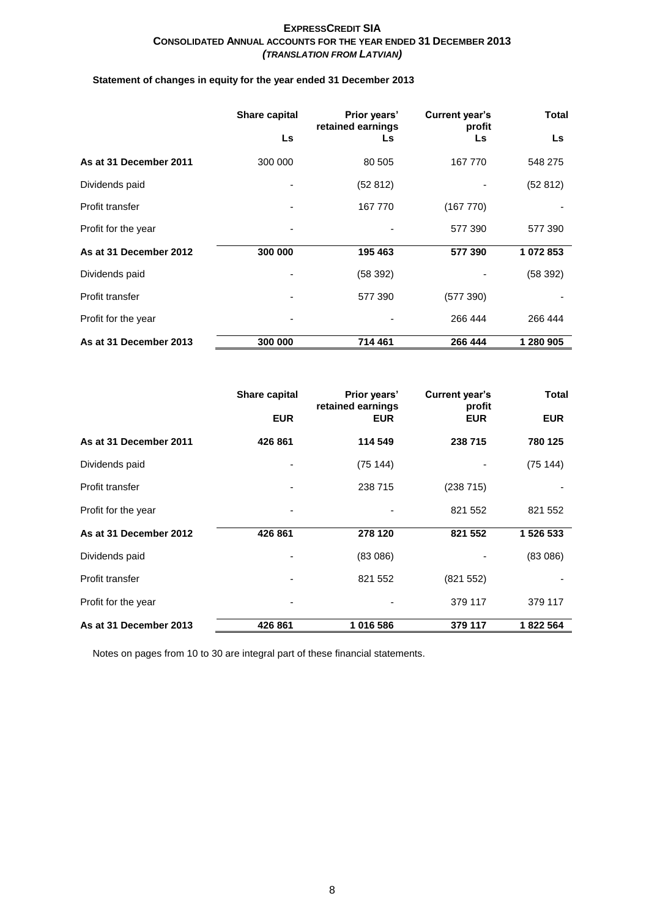# **Statement of changes in equity for the year ended 31 December 2013**

|                        | Share capital            | Prior years'            |               | <b>Total</b> |  |
|------------------------|--------------------------|-------------------------|---------------|--------------|--|
|                        | Ls                       | retained earnings<br>Ls | profit<br>Ls. | <b>Ls</b>    |  |
| As at 31 December 2011 | 300 000                  | 80 505                  | 167 770       | 548 275      |  |
| Dividends paid         |                          | (52 812)                |               | (52812)      |  |
| Profit transfer        | $\overline{\phantom{a}}$ | 167 770                 | (167 770)     |              |  |
| Profit for the year    |                          |                         | 577 390       | 577 390      |  |
| As at 31 December 2012 | 300 000                  | 195 463                 | 577 390       | 1072853      |  |
| Dividends paid         |                          | (58 392)                |               | (58 392)     |  |
| Profit transfer        |                          | 577 390                 | (577 390)     |              |  |
| Profit for the year    | $\overline{\phantom{a}}$ |                         | 266 444       | 266 444      |  |
| As at 31 December 2013 | 300 000                  | 714 461                 | 266 444       | 1 280 905    |  |

|                        | Share capital<br>Prior years' |                                 | Current year's       | <b>Total</b> |  |
|------------------------|-------------------------------|---------------------------------|----------------------|--------------|--|
|                        | <b>EUR</b>                    | retained earnings<br><b>EUR</b> | profit<br><b>EUR</b> | <b>EUR</b>   |  |
| As at 31 December 2011 | 426 861                       | 114 549                         | 238 715              | 780 125      |  |
| Dividends paid         |                               | (75144)                         |                      | (75144)      |  |
| Profit transfer        |                               | 238 715                         | (238715)             |              |  |
| Profit for the year    | ۰                             |                                 | 821 552              | 821 552      |  |
| As at 31 December 2012 | 426 861                       | 278 120                         | 821 552              | 1 526 533    |  |
| Dividends paid         |                               | (83086)                         |                      | (83086)      |  |
| Profit transfer        |                               | 821 552                         | (821552)             |              |  |
| Profit for the year    |                               |                                 | 379 117              | 379 117      |  |
| As at 31 December 2013 | 426 861                       | 1016586                         | 379 117              | 1822 564     |  |

Notes on pages from 10 to 30 are integral part of these financial statements.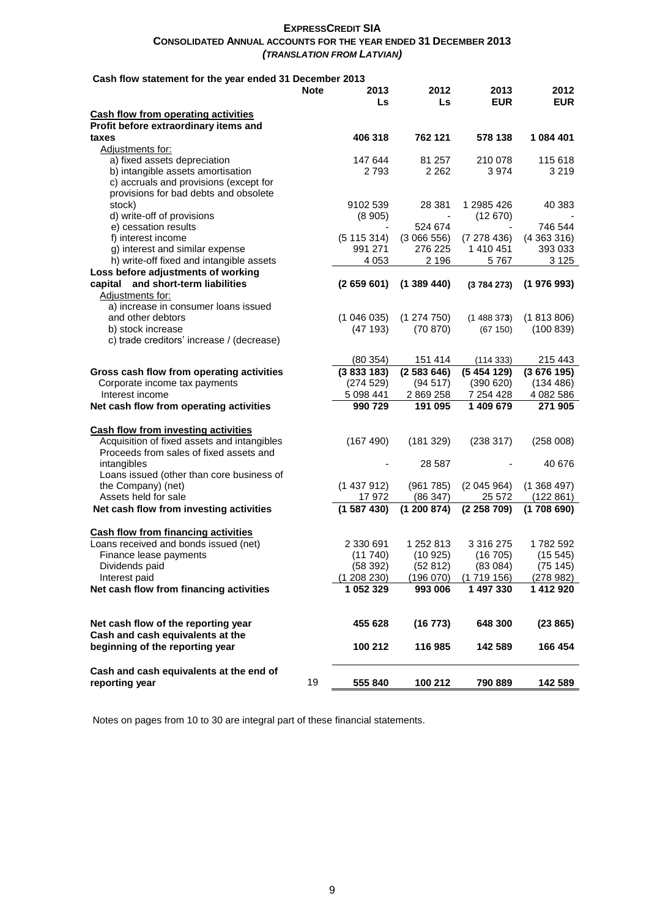| Cash flow statement for the year ended 31 December 2013                     |             |                      |                      |                        |                      |
|-----------------------------------------------------------------------------|-------------|----------------------|----------------------|------------------------|----------------------|
|                                                                             | <b>Note</b> | 2013                 | 2012                 | 2013                   | 2012                 |
|                                                                             |             | Ls                   | Ls                   | <b>EUR</b>             | <b>EUR</b>           |
| <b>Cash flow from operating activities</b>                                  |             |                      |                      |                        |                      |
| Profit before extraordinary items and                                       |             |                      |                      |                        |                      |
| taxes                                                                       |             | 406 318              | 762 121              | 578 138                | 1084 401             |
| Adjustments for:                                                            |             |                      |                      |                        |                      |
| a) fixed assets depreciation                                                |             | 147 644              | 81 257               | 210 078                | 115 618              |
| b) intangible assets amortisation                                           |             | 2793                 | 2 2 6 2              | 3974                   | 3 2 1 9              |
| c) accruals and provisions (except for                                      |             |                      |                      |                        |                      |
| provisions for bad debts and obsolete                                       |             |                      |                      |                        |                      |
| stock)                                                                      |             | 9102 539             | 28 381               | 1 2985 426             | 40 383               |
| d) write-off of provisions                                                  |             | (8905)               |                      | (12670)                |                      |
| e) cessation results                                                        |             |                      | 524 674              |                        | 746 544              |
| f) interest income                                                          |             | (5115314)<br>991 271 | (3066556)<br>276 225 | (7278436)<br>1 410 451 | (4363316)<br>393 033 |
| g) interest and similar expense<br>h) write-off fixed and intangible assets |             | 4 0 5 3              | 2 1 9 6              | 5767                   | 3 1 2 5              |
| Loss before adjustments of working                                          |             |                      |                      |                        |                      |
| capital and short-term liabilities                                          |             | (2659601)            | (1389440)            |                        | (1976993)            |
| Adjustments for:                                                            |             |                      |                      | (3784273)              |                      |
| a) increase in consumer loans issued                                        |             |                      |                      |                        |                      |
| and other debtors                                                           |             | (1046035)            | (1274750)            | (1488373)              | (1813806)            |
| b) stock increase                                                           |             | (47193)              | (70 870)             | (67 150)               | (100 839)            |
| c) trade creditors' increase / (decrease)                                   |             |                      |                      |                        |                      |
|                                                                             |             |                      |                      |                        |                      |
|                                                                             |             | (80354)              | 151 414              | (114333)               | 215 443              |
| Gross cash flow from operating activities                                   |             | (3833183)            | (2583646)            | (5454129)              | (3676195)            |
| Corporate income tax payments                                               |             | (274529)             | (94517)              | (390620)               | (134 486)            |
| Interest income                                                             |             | 5 098 441            | 2869258              | 7 254 428              | 4 082 586            |
| Net cash flow from operating activities                                     |             | 990 729              | 191 095              | 1 409 679              | 271 905              |
|                                                                             |             |                      |                      |                        |                      |
| <b>Cash flow from investing activities</b>                                  |             |                      |                      |                        |                      |
| Acquisition of fixed assets and intangibles                                 |             | (167 490)            | (181 329)            | (238 317)              | (258008)             |
| Proceeds from sales of fixed assets and                                     |             |                      |                      |                        |                      |
| intangibles                                                                 |             |                      | 28 5 87              |                        | 40 676               |
| Loans issued (other than core business of<br>the Company) (net)             |             | (1437912)            | (961785)             | (2045964)              | (1368497)            |
| Assets held for sale                                                        |             | 17 972               | (86347)              | 25 572                 | (122 861)            |
| Net cash flow from investing activities                                     |             | (1587430)            | (1200874)            | (2258709)              | (1708690)            |
|                                                                             |             |                      |                      |                        |                      |
| <b>Cash flow from financing activities</b>                                  |             |                      |                      |                        |                      |
| Loans received and bonds issued (net)                                       |             | 2 330 691            | 1 252 813            | 3 3 1 6 2 7 5          | 1782 592             |
| Finance lease payments                                                      |             | (11740)              | (10925)              | (16705)                | (15545)              |
| Dividends paid                                                              |             | (58392)              | (52812)              | (83084)                | (75145)              |
| Interest paid                                                               |             | (1208230)            | (196070)             | (1719156)              | (278 982)            |
| Net cash flow from financing activities                                     |             | 1 052 329            | 993 006              | 1 497 330              | 1 412 920            |
|                                                                             |             |                      |                      |                        |                      |
| Net cash flow of the reporting year                                         |             | 455 628              | (16 773)             | 648 300                | (23865)              |
| Cash and cash equivalents at the                                            |             |                      |                      |                        |                      |
| beginning of the reporting year                                             |             | 100 212              | 116 985              | 142 589                | 166 454              |
| Cash and cash equivalents at the end of                                     |             |                      |                      |                        |                      |
| reporting year                                                              | 19          | 555 840              | 100 212              | 790 889                | 142 589              |

Notes on pages from 10 to 30 are integral part of these financial statements.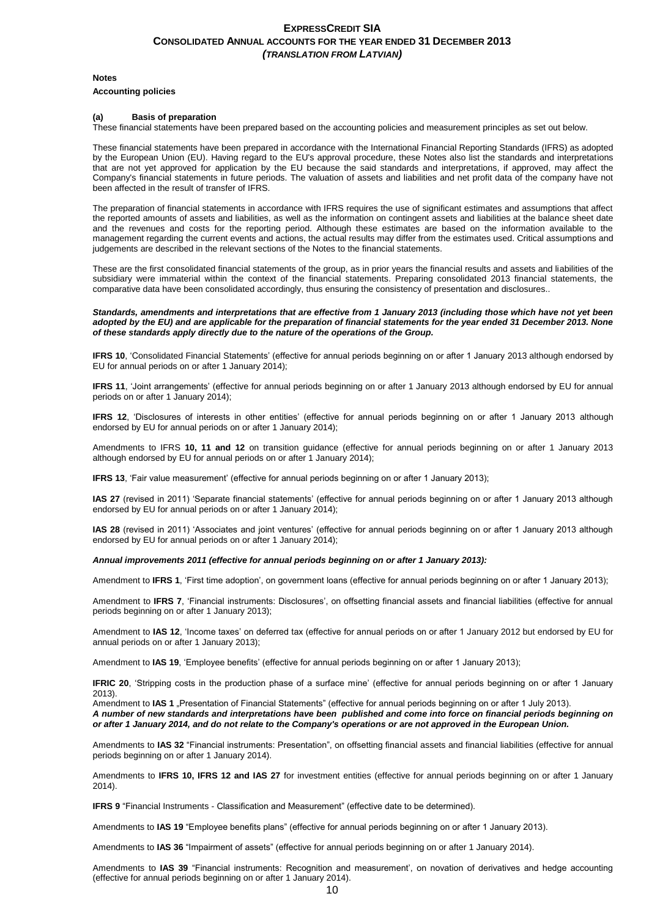**Notes**

#### **Accounting policies**

#### **(a) Basis of preparation**

These financial statements have been prepared based on the accounting policies and measurement principles as set out below.

These financial statements have been prepared in accordance with the International Financial Reporting Standards (IFRS) as adopted by the European Union (EU). Having regard to the EU's approval procedure, these Notes also list the standards and interpretations that are not yet approved for application by the EU because the said standards and interpretations, if approved, may affect the Company's financial statements in future periods. The valuation of assets and liabilities and net profit data of the company have not been affected in the result of transfer of IFRS.

The preparation of financial statements in accordance with IFRS requires the use of significant estimates and assumptions that affect the reported amounts of assets and liabilities, as well as the information on contingent assets and liabilities at the balance sheet date and the revenues and costs for the reporting period. Although these estimates are based on the information available to the management regarding the current events and actions, the actual results may differ from the estimates used. Critical assumptions and judgements are described in the relevant sections of the Notes to the financial statements.

These are the first consolidated financial statements of the group, as in prior years the financial results and assets and liabilities of the subsidiary were immaterial within the context of the financial statements. Preparing consolidated 2013 financial statements, the comparative data have been consolidated accordingly, thus ensuring the consistency of presentation and disclosures..

#### *Standards, amendments and interpretations that are effective from 1 January 2013 (including those which have not yet been adopted by the EU) and are applicable for the preparation of financial statements for the year ended 31 December 2013. None of these standards apply directly due to the nature of the operations of the Group.*

**IFRS 10**, 'Consolidated Financial Statements' (effective for annual periods beginning on or after 1 January 2013 although endorsed by EU for annual periods on or after 1 January 2014);

**IFRS 11**, 'Joint arrangements' (effective for annual periods beginning on or after 1 January 2013 although endorsed by EU for annual periods on or after 1 January 2014);

**IFRS 12**, 'Disclosures of interests in other entities' (effective for annual periods beginning on or after 1 January 2013 although endorsed by EU for annual periods on or after 1 January 2014);

Amendments to IFRS **10, 11 and 12** on transition guidance (effective for annual periods beginning on or after 1 January 2013 although endorsed by EU for annual periods on or after 1 January 2014);

**IFRS 13**, 'Fair value measurement' (effective for annual periods beginning on or after 1 January 2013);

**IAS 27** (revised in 2011) 'Separate financial statements' (effective for annual periods beginning on or after 1 January 2013 although endorsed by EU for annual periods on or after 1 January 2014);

**IAS 28** (revised in 2011) 'Associates and joint ventures' (effective for annual periods beginning on or after 1 January 2013 although endorsed by EU for annual periods on or after 1 January 2014);

#### *Annual improvements 2011 (effective for annual periods beginning on or after 1 January 2013):*

Amendment to **IFRS 1**, 'First time adoption', on government loans (effective for annual periods beginning on or after 1 January 2013);

Amendment to IFRS 7, 'Financial instruments: Disclosures', on offsetting financial assets and financial liabilities (effective for annual periods beginning on or after 1 January 2013);

Amendment to **IAS 12**, 'Income taxes' on deferred tax (effective for annual periods on or after 1 January 2012 but endorsed by EU for annual periods on or after 1 January 2013);

Amendment to **IAS 19**, 'Employee benefits' (effective for annual periods beginning on or after 1 January 2013);

**IFRIC 20**, 'Stripping costs in the production phase of a surface mine' (effective for annual periods beginning on or after 1 January 2013).

Amendment to IAS 1 "Presentation of Financial Statements" (effective for annual periods beginning on or after 1 July 2013).

*A number of new standards and interpretations have been published and come into force on financial periods beginning on or after 1 January 2014, and do not relate to the Company's operations or are not approved in the European Union.*

Amendments to IAS 32 "Financial instruments: Presentation", on offsetting financial assets and financial liabilities (effective for annual periods beginning on or after 1 January 2014).

Amendments to **IFRS 10, IFRS 12 and IAS 27** for investment entities (effective for annual periods beginning on or after 1 January 2014).

**IFRS 9** "Financial Instruments - Classification and Measurement" (effective date to be determined).

Amendments to **IAS 19** "Employee benefits plans" (effective for annual periods beginning on or after 1 January 2013).

Amendments to **IAS 36** "Impairment of assets" (effective for annual periods beginning on or after 1 January 2014).

Amendments to **IAS 39** "Financial instruments: Recognition and measurement', on novation of derivatives and hedge accounting (effective for annual periods beginning on or after 1 January 2014).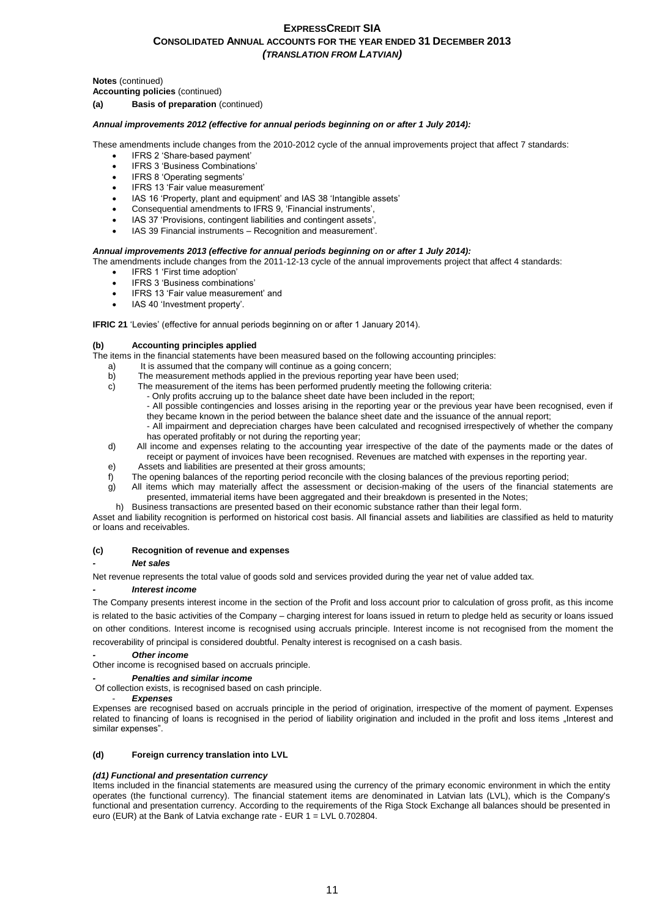**Notes** (continued)

**Accounting policies** (continued)

**(a) Basis of preparation** (continued)

### *Annual improvements 2012 (effective for annual periods beginning on or after 1 July 2014):*

These amendments include changes from the 2010-2012 cycle of the annual improvements project that affect 7 standards:

- IFRS 2 'Share-based payment'
- IFRS 3 'Business Combinations'
- IFRS 8 'Operating segments'
- IFRS 13 'Fair value measurement'
- IAS 16 'Property, plant and equipment' and IAS 38 'Intangible assets'
- Consequential amendments to IFRS 9, 'Financial instruments',
- IAS 37 'Provisions, contingent liabilities and contingent assets',
- IAS 39 Financial instruments Recognition and measurement'.

#### *Annual improvements 2013 (effective for annual periods beginning on or after 1 July 2014):*

The amendments include changes from the 2011-12-13 cycle of the annual improvements project that affect 4 standards:

- IFRS 1 'First time adoption'
- IFRS 3 'Business combinations'
- IFRS 13 'Fair value measurement' and
- IAS 40 'Investment property'.

**IFRIC 21** 'Levies' (effective for annual periods beginning on or after 1 January 2014).

#### **(b) Accounting principles applied**

- The items in the financial statements have been measured based on the following accounting principles:
	-
	- a) It is assumed that the company will continue as a going concern;<br>b) The measurement methods applied in the previous reporting year b) The measurement methods applied in the previous reporting year have been used;<br>c) The measurement of the items has been performed prudently meeting the following
	- The measurement of the items has been performed prudently meeting the following criteria:
		- Only profits accruing up to the balance sheet date have been included in the report;
			- All possible contingencies and losses arising in the reporting year or the previous year have been recognised, even if they became known in the period between the balance sheet date and the issuance of the annual report;
		- All impairment and depreciation charges have been calculated and recognised irrespectively of whether the company has operated profitably or not during the reporting year;
	- d) All income and expenses relating to the accounting year irrespective of the date of the payments made or the dates of receipt or payment of invoices have been recognised. Revenues are matched with expenses in the reporting year.
	- e) Assets and liabilities are presented at their gross amounts;
	- f) The opening balances of the reporting period reconcile with the closing balances of the previous reporting period;
	- g) All items which may materially affect the assessment or decision-making of the users of the financial statements are presented, immaterial items have been aggregated and their breakdown is presented in the Notes;
		- h) Business transactions are presented based on their economic substance rather than their legal form.

Asset and liability recognition is performed on historical cost basis. All financial assets and liabilities are classified as held to maturity or loans and receivables.

#### **(c) Recognition of revenue and expenses**

#### *- Net sales*

Net revenue represents the total value of goods sold and services provided during the year net of value added tax.

#### *- Interest income*

The Company presents interest income in the section of the Profit and loss account prior to calculation of gross profit, as this income is related to the basic activities of the Company – charging interest for loans issued in return to pledge held as security or loans issued on other conditions. Interest income is recognised using accruals principle. Interest income is not recognised from the moment the recoverability of principal is considered doubtful. Penalty interest is recognised on a cash basis.

#### *- Other income*

Other income is recognised based on accruals principle.

#### *- Penalties and similar income*

Of collection exists, is recognised based on cash principle.

#### - *Expenses*

Expenses are recognised based on accruals principle in the period of origination, irrespective of the moment of payment. Expenses related to financing of loans is recognised in the period of liability origination and included in the profit and loss items "Interest and similar expenses".

#### **(d) Foreign currency translation into LVL**

#### *(d1) Functional and presentation currency*

Items included in the financial statements are measured using the currency of the primary economic environment in which the entity operates (the functional currency). The financial statement items are denominated in Latvian lats (LVL), which is the Company's functional and presentation currency. According to the requirements of the Riga Stock Exchange all balances should be presented in euro (EUR) at the Bank of Latvia exchange rate - EUR 1 = LVL 0.702804.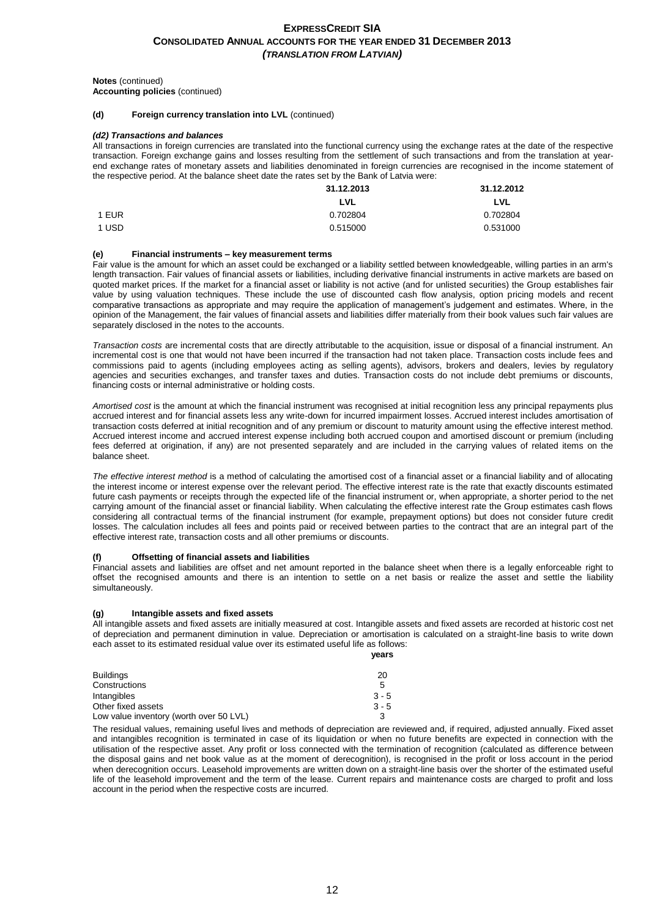**Notes** (continued) **Accounting policies** (continued)

#### **(d) Foreign currency translation into LVL** (continued)

#### *(d2) Transactions and balances*

All transactions in foreign currencies are translated into the functional currency using the exchange rates at the date of the respective transaction. Foreign exchange gains and losses resulting from the settlement of such transactions and from the translation at yearend exchange rates of monetary assets and liabilities denominated in foreign currencies are recognised in the income statement of the respective period. At the balance sheet date the rates set by the Bank of Latvia were:

|       | 31.12.2013 | 31.12.2012 |
|-------|------------|------------|
|       | LVL        | LVL        |
| 1 EUR | 0.702804   | 0.702804   |
| 1 USD | 0.515000   | 0.531000   |

#### **(e) Financial instruments – key measurement terms**

Fair value is the amount for which an asset could be exchanged or a liability settled between knowledgeable, willing parties in an arm's length transaction. Fair values of financial assets or liabilities, including derivative financial instruments in active markets are based on quoted market prices. If the market for a financial asset or liability is not active (and for unlisted securities) the Group establishes fair value by using valuation techniques. These include the use of discounted cash flow analysis, option pricing models and recent comparative transactions as appropriate and may require the application of management's judgement and estimates. Where, in the opinion of the Management, the fair values of financial assets and liabilities differ materially from their book values such fair values are separately disclosed in the notes to the accounts.

*Transaction costs* are incremental costs that are directly attributable to the acquisition, issue or disposal of a financial instrument. An incremental cost is one that would not have been incurred if the transaction had not taken place. Transaction costs include fees and commissions paid to agents (including employees acting as selling agents), advisors, brokers and dealers, levies by regulatory agencies and securities exchanges, and transfer taxes and duties. Transaction costs do not include debt premiums or discounts, financing costs or internal administrative or holding costs.

Amortised cost is the amount at which the financial instrument was recognised at initial recognition less any principal repayments plus accrued interest and for financial assets less any write-down for incurred impairment losses. Accrued interest includes amortisation of transaction costs deferred at initial recognition and of any premium or discount to maturity amount using the effective interest method. Accrued interest income and accrued interest expense including both accrued coupon and amortised discount or premium (including fees deferred at origination, if any) are not presented separately and are included in the carrying values of related items on the balance sheet.

*The effective interest method* is a method of calculating the amortised cost of a financial asset or a financial liability and of allocating the interest income or interest expense over the relevant period. The effective interest rate is the rate that exactly discounts estimated future cash payments or receipts through the expected life of the financial instrument or, when appropriate, a shorter period to the net carrying amount of the financial asset or financial liability. When calculating the effective interest rate the Group estimates cash flows considering all contractual terms of the financial instrument (for example, prepayment options) but does not consider future credit losses. The calculation includes all fees and points paid or received between parties to the contract that are an integral part of the effective interest rate, transaction costs and all other premiums or discounts.

#### **(f) Offsetting of financial assets and liabilities**

Financial assets and liabilities are offset and net amount reported in the balance sheet when there is a legally enforceable right to offset the recognised amounts and there is an intention to settle on a net basis or realize the asset and settle the liability simultaneously.

### **(g) Intangible assets and fixed assets**

All intangible assets and fixed assets are initially measured at cost. Intangible assets and fixed assets are recorded at historic cost net of depreciation and permanent diminution in value. Depreciation or amortisation is calculated on a straight-line basis to write down each asset to its estimated residual value over its estimated useful life as follows:

**years**

| <b>Buildings</b>                        | 20      |
|-----------------------------------------|---------|
| Constructions                           | 5       |
| Intangibles                             | $3 - 5$ |
| Other fixed assets                      | $3 - 5$ |
| Low value inventory (worth over 50 LVL) |         |

The residual values, remaining useful lives and methods of depreciation are reviewed and, if required, adjusted annually. Fixed asset and intangibles recognition is terminated in case of its liquidation or when no future benefits are expected in connection with the utilisation of the respective asset. Any profit or loss connected with the termination of recognition (calculated as difference between the disposal gains and net book value as at the moment of derecognition), is recognised in the profit or loss account in the period when derecognition occurs. Leasehold improvements are written down on a straight-line basis over the shorter of the estimated useful life of the leasehold improvement and the term of the lease. Current repairs and maintenance costs are charged to profit and loss account in the period when the respective costs are incurred.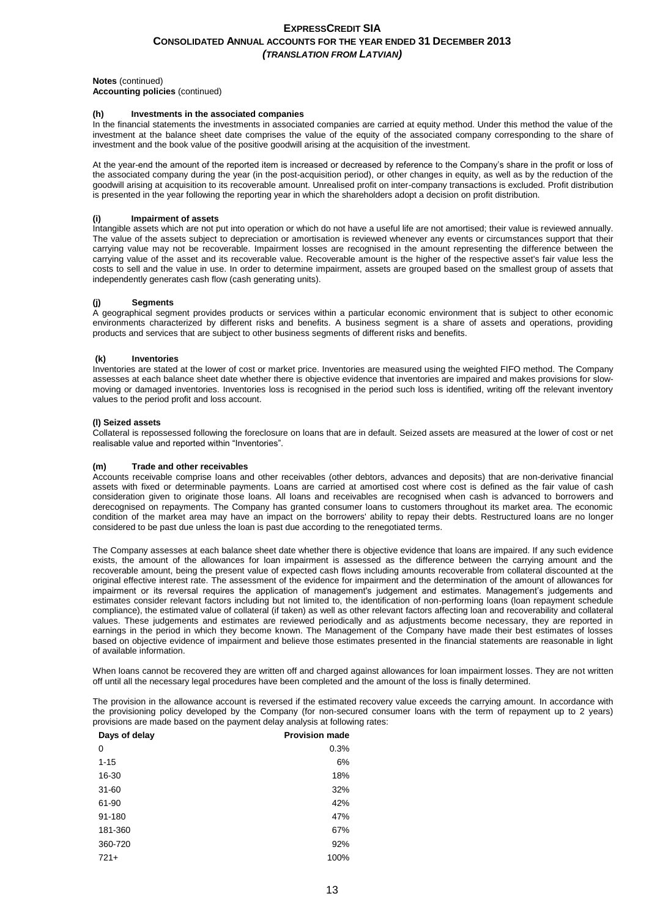**Notes** (continued)

**Accounting policies** (continued)

#### **(h) Investments in the associated companies**

In the financial statements the investments in associated companies are carried at equity method. Under this method the value of the investment at the balance sheet date comprises the value of the equity of the associated company corresponding to the share of investment and the book value of the positive goodwill arising at the acquisition of the investment.

At the year-end the amount of the reported item is increased or decreased by reference to the Company's share in the profit or loss of the associated company during the year (in the post-acquisition period), or other changes in equity, as well as by the reduction of the goodwill arising at acquisition to its recoverable amount. Unrealised profit on inter-company transactions is excluded. Profit distribution is presented in the year following the reporting year in which the shareholders adopt a decision on profit distribution.

#### **(i) Impairment of assets**

Intangible assets which are not put into operation or which do not have a useful life are not amortised; their value is reviewed annually. The value of the assets subject to depreciation or amortisation is reviewed whenever any events or circumstances support that their carrying value may not be recoverable. Impairment losses are recognised in the amount representing the difference between the carrying value of the asset and its recoverable value. Recoverable amount is the higher of the respective asset's fair value less the costs to sell and the value in use. In order to determine impairment, assets are grouped based on the smallest group of assets that independently generates cash flow (cash generating units).

#### **(j) Segments**

A geographical segment provides products or services within a particular economic environment that is subject to other economic environments characterized by different risks and benefits. A business segment is a share of assets and operations, providing products and services that are subject to other business segments of different risks and benefits.

#### **(k) Inventories**

Inventories are stated at the lower of cost or market price. Inventories are measured using the weighted FIFO method. The Company assesses at each balance sheet date whether there is objective evidence that inventories are impaired and makes provisions for slowmoving or damaged inventories. Inventories loss is recognised in the period such loss is identified, writing off the relevant inventory values to the period profit and loss account.

#### **(l) Seized assets**

Collateral is repossessed following the foreclosure on loans that are in default. Seized assets are measured at the lower of cost or net realisable value and reported within "Inventories".

#### **(m) Trade and other receivables**

Accounts receivable comprise loans and other receivables (other debtors, advances and deposits) that are non-derivative financial assets with fixed or determinable payments. Loans are carried at amortised cost where cost is defined as the fair value of cash consideration given to originate those loans. All loans and receivables are recognised when cash is advanced to borrowers and derecognised on repayments. The Company has granted consumer loans to customers throughout its market area. The economic condition of the market area may have an impact on the borrowers' ability to repay their debts. Restructured loans are no longer considered to be past due unless the loan is past due according to the renegotiated terms.

The Company assesses at each balance sheet date whether there is objective evidence that loans are impaired. If any such evidence exists, the amount of the allowances for loan impairment is assessed as the difference between the carrying amount and the recoverable amount, being the present value of expected cash flows including amounts recoverable from collateral discounted at the original effective interest rate. The assessment of the evidence for impairment and the determination of the amount of allowances for impairment or its reversal requires the application of management's judgement and estimates. Management's judgements and estimates consider relevant factors including but not limited to, the identification of non-performing loans (loan repayment schedule compliance), the estimated value of collateral (if taken) as well as other relevant factors affecting loan and recoverability and collateral values. These judgements and estimates are reviewed periodically and as adjustments become necessary, they are reported in earnings in the period in which they become known. The Management of the Company have made their best estimates of losses based on objective evidence of impairment and believe those estimates presented in the financial statements are reasonable in light of available information.

When loans cannot be recovered they are written off and charged against allowances for loan impairment losses. They are not written off until all the necessary legal procedures have been completed and the amount of the loss is finally determined.

The provision in the allowance account is reversed if the estimated recovery value exceeds the carrying amount. In accordance with the provisioning policy developed by the Company (for non-secured consumer loans with the term of repayment up to 2 years) provisions are made based on the payment delay analysis at following rates:

| Days of delay | <b>Provision made</b> |
|---------------|-----------------------|
| $\mathbf 0$   | 0.3%                  |
| $1 - 15$      | 6%                    |
| 16-30         | 18%                   |
| $31 - 60$     | 32%                   |
| 61-90         | 42%                   |
| 91-180        | 47%                   |
| 181-360       | 67%                   |
| 360-720       | 92%                   |
| $721+$        | 100%                  |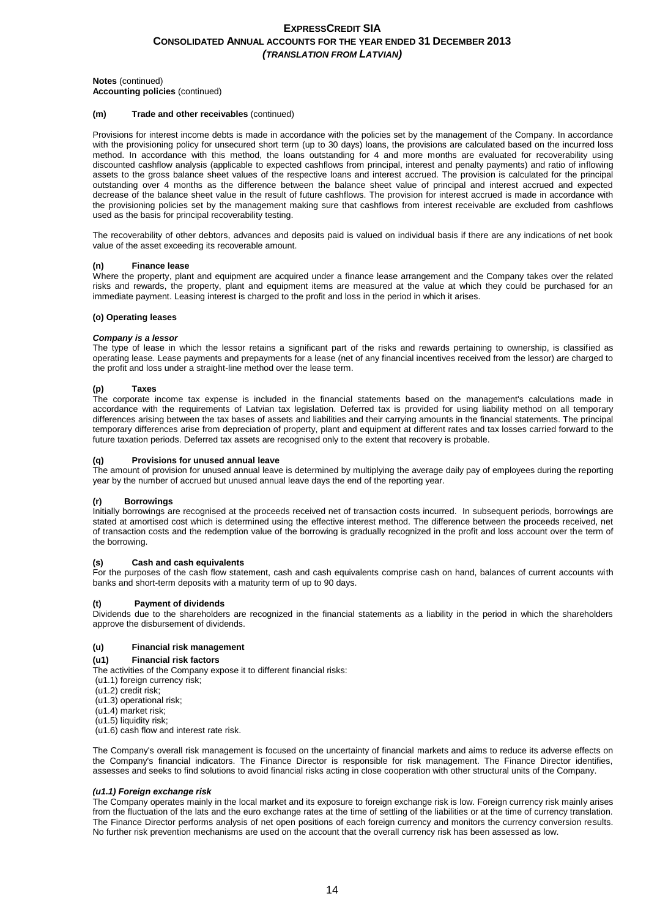**Notes** (continued) **Accounting policies** (continued)

#### **(m) Trade and other receivables** (continued)

Provisions for interest income debts is made in accordance with the policies set by the management of the Company. In accordance with the provisioning policy for unsecured short term (up to 30 days) loans, the provisions are calculated based on the incurred loss method. In accordance with this method, the loans outstanding for 4 and more months are evaluated for recoverability using discounted cashflow analysis (applicable to expected cashflows from principal, interest and penalty payments) and ratio of inflowing assets to the gross balance sheet values of the respective loans and interest accrued. The provision is calculated for the principal outstanding over 4 months as the difference between the balance sheet value of principal and interest accrued and expected decrease of the balance sheet value in the result of future cashflows. The provision for interest accrued is made in accordance with the provisioning policies set by the management making sure that cashflows from interest receivable are excluded from cashflows used as the basis for principal recoverability testing.

The recoverability of other debtors, advances and deposits paid is valued on individual basis if there are any indications of net book value of the asset exceeding its recoverable amount.

#### **(n) Finance lease**

Where the property, plant and equipment are acquired under a finance lease arrangement and the Company takes over the related risks and rewards, the property, plant and equipment items are measured at the value at which they could be purchased for an immediate payment. Leasing interest is charged to the profit and loss in the period in which it arises.

### **(o) Operating leases**

#### *Company is a lessor*

The type of lease in which the lessor retains a significant part of the risks and rewards pertaining to ownership, is classified as operating lease. Lease payments and prepayments for a lease (net of any financial incentives received from the lessor) are charged to the profit and loss under a straight-line method over the lease term.

#### **(p) Taxes**

The corporate income tax expense is included in the financial statements based on the management's calculations made in accordance with the requirements of Latvian tax legislation. Deferred tax is provided for using liability method on all temporary differences arising between the tax bases of assets and liabilities and their carrying amounts in the financial statements. The principal temporary differences arise from depreciation of property, plant and equipment at different rates and tax losses carried forward to the future taxation periods. Deferred tax assets are recognised only to the extent that recovery is probable.

#### **(q) Provisions for unused annual leave**

The amount of provision for unused annual leave is determined by multiplying the average daily pay of employees during the reporting year by the number of accrued but unused annual leave days the end of the reporting year.

#### **(r) Borrowings**

Initially borrowings are recognised at the proceeds received net of transaction costs incurred. In subsequent periods, borrowings are stated at amortised cost which is determined using the effective interest method. The difference between the proceeds received, net of transaction costs and the redemption value of the borrowing is gradually recognized in the profit and loss account over the term of the borrowing.

#### **(s) Cash and cash equivalents**

For the purposes of the cash flow statement, cash and cash equivalents comprise cash on hand, balances of current accounts with banks and short-term deposits with a maturity term of up to 90 days.

#### **Payment of dividends**

Dividends due to the shareholders are recognized in the financial statements as a liability in the period in which the shareholders approve the disbursement of dividends.

#### **(u) Financial risk management**

#### **(u1) Financial risk factors**

The activities of the Company expose it to different financial risks:

- (u1.1) foreign currency risk;
- (u1.2) credit risk;
- (u1.3) operational risk;
- (u1.4) market risk;
- (u1.5) liquidity risk;
- (u1.6) cash flow and interest rate risk.

The Company's overall risk management is focused on the uncertainty of financial markets and aims to reduce its adverse effects on the Company's financial indicators. The Finance Director is responsible for risk management. The Finance Director identifies, assesses and seeks to find solutions to avoid financial risks acting in close cooperation with other structural units of the Company.

### *(u1.1) Foreign exchange risk*

The Company operates mainly in the local market and its exposure to foreign exchange risk is low. Foreign currency risk mainly arises from the fluctuation of the lats and the euro exchange rates at the time of settling of the liabilities or at the time of currency translation. The Finance Director performs analysis of net open positions of each foreign currency and monitors the currency conversion results. No further risk prevention mechanisms are used on the account that the overall currency risk has been assessed as low.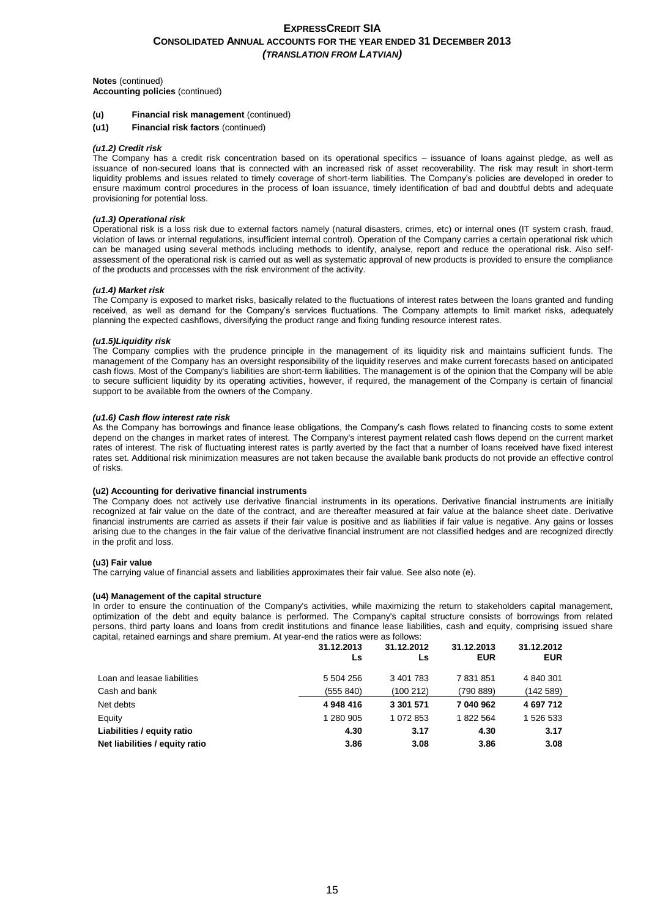**Notes** (continued) **Accounting policies** (continued)

- **(u) Financial risk management** (continued)
- **(u1) Financial risk factors** (continued)

### *(u1.2) Credit risk*

The Company has a credit risk concentration based on its operational specifics – issuance of loans against pledge, as well as issuance of non-secured loans that is connected with an increased risk of asset recoverability. The risk may result in short-term liquidity problems and issues related to timely coverage of short-term liabilities. The Company's policies are developed in oreder to ensure maximum control procedures in the process of loan issuance, timely identification of bad and doubtful debts and adequate provisioning for potential loss.

#### *(u1.3) Operational risk*

Operational risk is a loss risk due to external factors namely (natural disasters, crimes, etc) or internal ones (IT system crash, fraud, violation of laws or internal regulations, insufficient internal control). Operation of the Company carries a certain operational risk which can be managed using several methods including methods to identify, analyse, report and reduce the operational risk. Also selfassessment of the operational risk is carried out as well as systematic approval of new products is provided to ensure the compliance of the products and processes with the risk environment of the activity.

#### *(u1.4) Market risk*

The Company is exposed to market risks, basically related to the fluctuations of interest rates between the loans granted and funding received, as well as demand for the Company's services fluctuations. The Company attempts to limit market risks, adequately planning the expected cashflows, diversifying the product range and fixing funding resource interest rates.

#### *(u1.5)Liquidity risk*

The Company complies with the prudence principle in the management of its liquidity risk and maintains sufficient funds. The management of the Company has an oversight responsibility of the liquidity reserves and make current forecasts based on anticipated cash flows. Most of the Company's liabilities are short-term liabilities. The management is of the opinion that the Company will be able to secure sufficient liquidity by its operating activities, however, if required, the management of the Company is certain of financial support to be available from the owners of the Company.

#### *(u1.6) Cash flow interest rate risk*

As the Company has borrowings and finance lease obligations, the Company's cash flows related to financing costs to some extent depend on the changes in market rates of interest. The Company's interest payment related cash flows depend on the current market rates of interest. The risk of fluctuating interest rates is partly averted by the fact that a number of loans received have fixed interest rates set. Additional risk minimization measures are not taken because the available bank products do not provide an effective control of risks.

#### **(u2) Accounting for derivative financial instruments**

The Company does not actively use derivative financial instruments in its operations. Derivative financial instruments are initially recognized at fair value on the date of the contract, and are thereafter measured at fair value at the balance sheet date. Derivative financial instruments are carried as assets if their fair value is positive and as liabilities if fair value is negative. Any gains or losses arising due to the changes in the fair value of the derivative financial instrument are not classified hedges and are recognized directly in the profit and loss.

#### **(u3) Fair value**

The carrying value of financial assets and liabilities approximates their fair value. See also note (e).

#### **(u4) Management of the capital structure**

In order to ensure the continuation of the Company's activities, while maximizing the return to stakeholders capital management, optimization of the debt and equity balance is performed. The Company's capital structure consists of borrowings from related persons, third party loans and loans from credit institutions and finance lease liabilities, cash and equity, comprising issued share capital, retained earnings and share premium. At year-end the ratios were as follows:

|                                | 31.12.2013<br>Ls | 31.12.2012<br>Ls | 31.12.2013<br><b>EUR</b> | 31.12.2012<br><b>EUR</b> |
|--------------------------------|------------------|------------------|--------------------------|--------------------------|
| Loan and leasae liabilities    | 5 504 256        | 3401783          | 7831851                  | 4 840 301                |
| Cash and bank                  | (555 840)        | (100212)         | (790 889)                | (142589)                 |
| Net debts                      | 4 948 416        | 3 301 571        | 7 040 962                | 4 697 712                |
| Equity                         | 1 280 905        | 1 072 853        | 1822 564                 | 1 526 533                |
| Liabilities / equity ratio     | 4.30             | 3.17             | 4.30                     | 3.17                     |
| Net liabilities / equity ratio | 3.86             | 3.08             | 3.86                     | 3.08                     |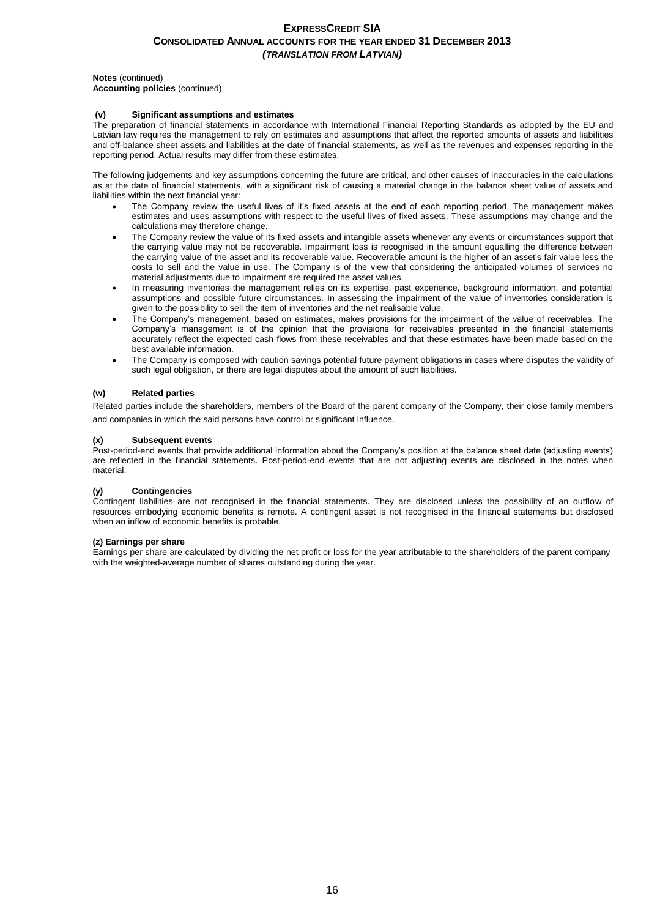#### **Notes** (continued)

**Accounting policies** (continued)

### **(v) Significant assumptions and estimates**

The preparation of financial statements in accordance with International Financial Reporting Standards as adopted by the EU and Latvian law requires the management to rely on estimates and assumptions that affect the reported amounts of assets and liabilities and off-balance sheet assets and liabilities at the date of financial statements, as well as the revenues and expenses reporting in the reporting period. Actual results may differ from these estimates.

The following judgements and key assumptions concerning the future are critical, and other causes of inaccuracies in the calculations as at the date of financial statements, with a significant risk of causing a material change in the balance sheet value of assets and liabilities within the next financial year:

- The Company review the useful lives of it's fixed assets at the end of each reporting period. The management makes estimates and uses assumptions with respect to the useful lives of fixed assets. These assumptions may change and the calculations may therefore change.
- The Company review the value of its fixed assets and intangible assets whenever any events or circumstances support that the carrying value may not be recoverable. Impairment loss is recognised in the amount equalling the difference between the carrying value of the asset and its recoverable value. Recoverable amount is the higher of an asset's fair value less the costs to sell and the value in use. The Company is of the view that considering the anticipated volumes of services no material adjustments due to impairment are required the asset values.
- In measuring inventories the management relies on its expertise, past experience, background information, and potential assumptions and possible future circumstances. In assessing the impairment of the value of inventories consideration is given to the possibility to sell the item of inventories and the net realisable value.
- The Company's management, based on estimates, makes provisions for the impairment of the value of receivables. The Company's management is of the opinion that the provisions for receivables presented in the financial statements accurately reflect the expected cash flows from these receivables and that these estimates have been made based on the best available information.
- The Company is composed with caution savings potential future payment obligations in cases where disputes the validity of such legal obligation, or there are legal disputes about the amount of such liabilities.

### **(w) Related parties**

Related parties include the shareholders, members of the Board of the parent company of the Company, their close family members and companies in which the said persons have control or significant influence.

#### **(x) Subsequent events**

Post-period-end events that provide additional information about the Company's position at the balance sheet date (adjusting events) are reflected in the financial statements. Post-period-end events that are not adjusting events are disclosed in the notes when material.

### **(y) Contingencies**

Contingent liabilities are not recognised in the financial statements. They are disclosed unless the possibility of an outflow of resources embodying economic benefits is remote. A contingent asset is not recognised in the financial statements but disclosed when an inflow of economic benefits is probable.

#### **(z) Earnings per share**

Earnings per share are calculated by dividing the net profit or loss for the year attributable to the shareholders of the parent company with the weighted-average number of shares outstanding during the year.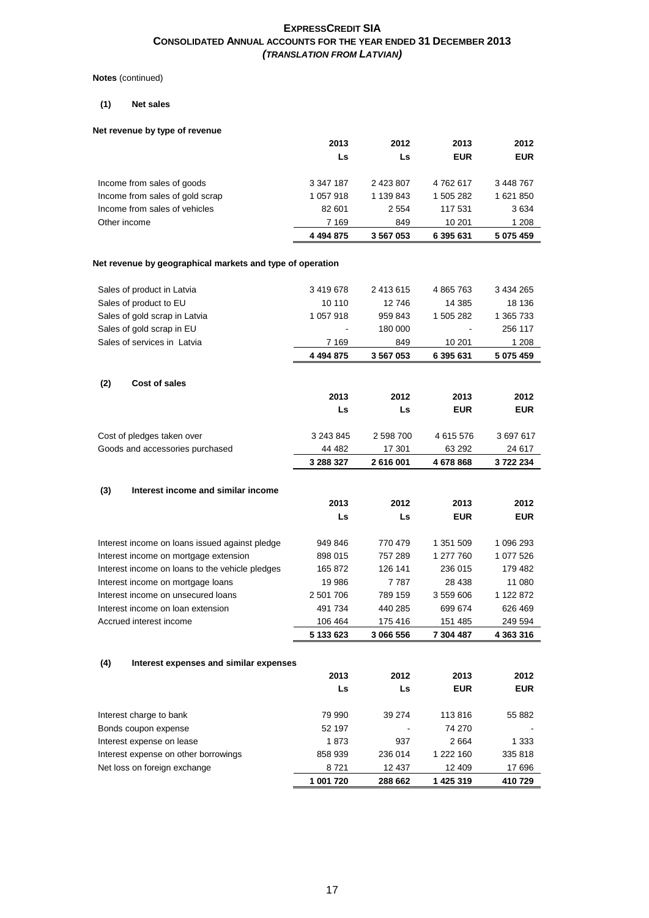# **Notes** (continued)

### **(1) Net sales**

# **Net revenue by type of revenue**

|                                 | 2013          | 2012      | 2013       | 2012       |  |
|---------------------------------|---------------|-----------|------------|------------|--|
|                                 | Ls            | Ls        | <b>EUR</b> | <b>EUR</b> |  |
|                                 |               |           |            |            |  |
| Income from sales of goods      | 3 347 187     | 2 423 807 | 4 762 617  | 3 448 767  |  |
| Income from sales of gold scrap | 1 057 918     | 1 139 843 | 1 505 282  | 1 621 850  |  |
| Income from sales of vehicles   | 82 601        | 2 5 5 4   | 117 531    | 3634       |  |
| Other income                    | 7 1 6 9       | 849       | 10 201     | 1 208      |  |
|                                 | 4 4 9 4 8 7 5 | 3 567 053 | 6 395 631  | 5 075 459  |  |

### **Net revenue by geographical markets and type of operation**

| Sales of product in Latvia                                   | 3 419 678     | 2 413 615 | 4 865 763  | 3 434 265  |
|--------------------------------------------------------------|---------------|-----------|------------|------------|
| Sales of product to EU                                       | 10 110        | 12746     | 14 385     | 18 136     |
| Sales of gold scrap in Latvia                                | 1 057 918     | 959 843   | 1 505 282  | 1 365 733  |
| Sales of gold scrap in EU                                    |               | 180 000   |            | 256 117    |
| Sales of services in Latvia                                  | 7 1 6 9       | 849       | 10 201     | 1 208      |
|                                                              | 4 4 9 4 8 7 5 | 3 567 053 | 6 395 631  | 5 075 459  |
| Cost of sales<br>(2)                                         |               |           |            |            |
|                                                              | 2013          | 2012      | 2013       | 2012       |
|                                                              | <b>Ls</b>     | Ls        | <b>EUR</b> | <b>EUR</b> |
|                                                              |               |           |            |            |
| Cost of pledges taken over                                   | 3 243 845     | 2 598 700 | 4615576    | 3697617    |
| Goods and accessories purchased                              | 44 482        | 17 301    | 63 292     | 24 617     |
|                                                              | 3 288 327     | 2616001   | 4 678 868  | 3722234    |
|                                                              |               |           |            |            |
| Interest income and similar income<br>(3)                    | 2013          | 2012      | 2013       | 2012       |
|                                                              | <b>Ls</b>     | Ls        | <b>EUR</b> | <b>EUR</b> |
|                                                              |               |           |            |            |
| Interest income on loans issued against pledge               | 949 846       | 770 479   | 1 351 509  | 1 096 293  |
| Interest income on mortgage extension                        | 898 015       | 757 289   | 1 277 760  | 1 077 526  |
|                                                              |               |           |            |            |
| Interest income on loans to the vehicle pledges              | 165 872       | 126 141   | 236 015    | 179 482    |
| Interest income on mortgage loans                            | 19 986        | 7 7 8 7   | 28 4 38    | 11 080     |
| Interest income on unsecured loans                           | 2 501 706     | 789 159   | 3559606    | 1 122 872  |
|                                                              | 491 734       | 440 285   | 699 674    | 626 469    |
| Interest income on loan extension<br>Accrued interest income | 106 464       | 175 416   | 151 485    | 249 594    |

|                                      | 2013<br>Ls | 2012<br>Ls | 2013<br><b>EUR</b> | 2012<br><b>EUR</b> |
|--------------------------------------|------------|------------|--------------------|--------------------|
| Interest charge to bank              | 79 990     | 39 274     | 113816             | 55 882             |
| Bonds coupon expense                 | 52 197     | $\,$       | 74 270             |                    |
| Interest expense on lease            | 1873       | 937        | 2664               | 1 333              |
| Interest expense on other borrowings | 858 939    | 236 014    | 1 222 160          | 335 818            |
| Net loss on foreign exchange         | 8721       | 12 437     | 12 409             | 17 696             |
|                                      | 1 001 720  | 288 662    | 1425319            | 410729             |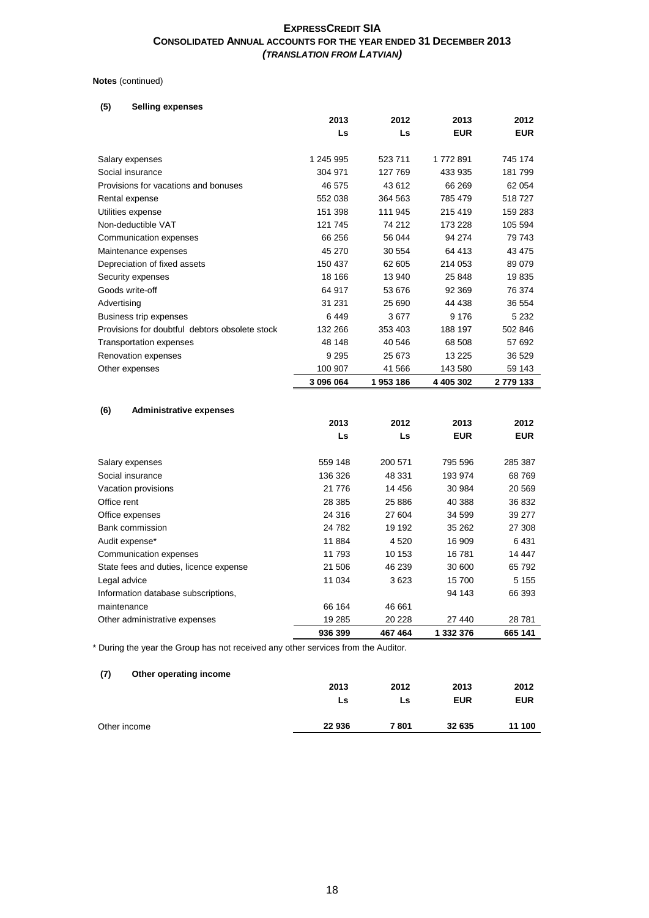**Notes** (continued)

### **(5) Selling expenses**

|                                                | 2013      | 2012     | 2013       | 2012       |
|------------------------------------------------|-----------|----------|------------|------------|
|                                                | Ls        | Ls       | <b>EUR</b> | <b>EUR</b> |
| Salary expenses                                | 1 245 995 | 523 711  | 1772891    | 745 174    |
| Social insurance                               | 304 971   | 127 769  | 433 935    | 181799     |
| Provisions for vacations and bonuses           | 46 575    | 43 612   | 66 269     | 62 054     |
| Rental expense                                 | 552 038   | 364 563  | 785 479    | 518727     |
| Utilities expense                              | 151 398   | 111 945  | 215 419    | 159 283    |
| Non-deductible VAT                             | 121 745   | 74 212   | 173 228    | 105 594    |
| Communication expenses                         | 66 256    | 56 044   | 94 274     | 79 743     |
| Maintenance expenses                           | 45 270    | 30 554   | 64 413     | 43 475     |
| Depreciation of fixed assets                   | 150 437   | 62 605   | 214 053    | 89 079     |
| Security expenses                              | 18 166    | 13 940   | 25 848     | 19835      |
| Goods write-off                                | 64 917    | 53 676   | 92 369     | 76 374     |
| Advertising                                    | 31 231    | 25 690   | 44 438     | 36 554     |
| <b>Business trip expenses</b>                  | 6449      | 3677     | 9 1 7 6    | 5 2 3 2    |
| Provisions for doubtful debtors obsolete stock | 132 266   | 353 403  | 188 197    | 502 846    |
| <b>Transportation expenses</b>                 | 48 148    | 40 546   | 68 508     | 57 692     |
| Renovation expenses                            | 9 2 9 5   | 25 673   | 13 2 25    | 36 529     |
| Other expenses                                 | 100 907   | 41 566   | 143 580    | 59 143     |
|                                                | 3 096 064 | 1953 186 | 4 405 302  | 2779 133   |
| (6)<br><b>Administrative expenses</b>          |           |          |            |            |
|                                                | 2013      | 2012     | 2013       | 2012       |
|                                                | Ls        | Ls       | <b>EUR</b> | <b>EUR</b> |
| Salary expenses                                | 559 148   | 200 571  | 795 596    | 285 387    |
| Social insurance                               | 136 326   | 48 331   | 193 974    | 68769      |
| Vacation provisions                            | 21 776    | 14 456   | 30 984     | 20 569     |
| Office rent                                    | 28 385    | 25 8 86  | 40 388     | 36 832     |
| Office expenses                                | 24 316    | 27 604   | 34 599     | 39 277     |
| Bank commission                                | 24 782    | 19 192   | 35 262     | 27 308     |
| Audit expense*                                 | 11 884    | 4520     | 16 909     | 6431       |
| Communication expenses                         | 11 793    | 10 153   | 16781      | 14 447     |
| State fees and duties, licence expense         | 21 506    | 46 239   | 30 600     | 65 792     |
| Legal advice                                   | 11 034    | 3623     | 15700      | 5 1 5 5    |
| Information database subscriptions,            |           |          | 94 143     | 66 393     |
| maintenance                                    | 66 164    | 46 661   |            |            |
| Other administrative expenses                  | 19 285    | 20 228   | 27 440     | 28 781     |
|                                                | 936 399   | 467 464  | 1 332 376  | 665 141    |

\* During the year the Group has not received any other services from the Auditor.

| (7)          | Other operating income |        |       |            |            |
|--------------|------------------------|--------|-------|------------|------------|
|              |                        | 2013   | 2012  | 2013       | 2012       |
|              |                        | Ls     | Ls    | <b>EUR</b> | <b>EUR</b> |
| Other income |                        | 22 936 | 7 801 | 32 635     | 11 100     |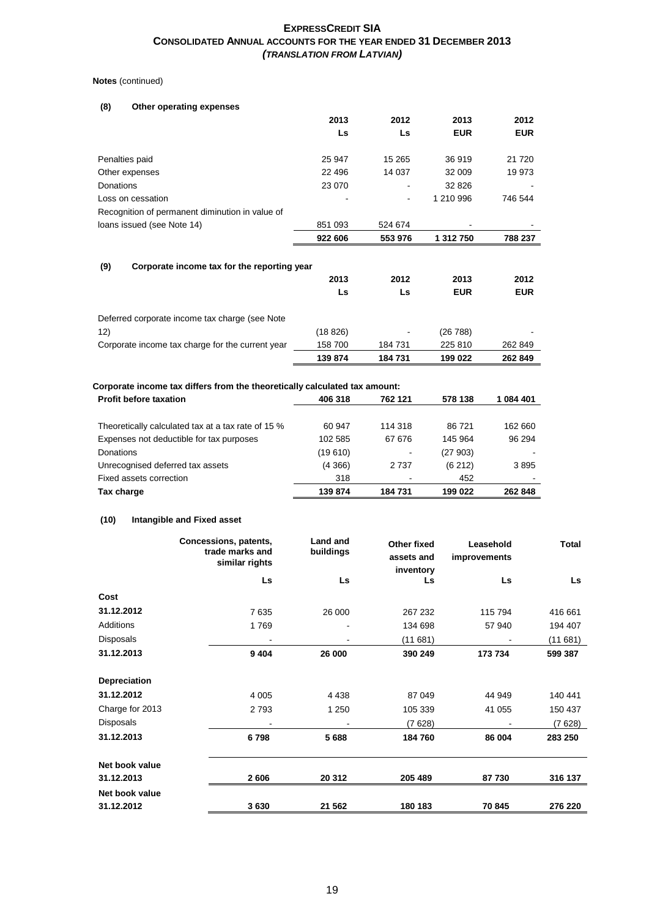**Notes** (continued)

|                                                    | 2013     | 2012                     | 2013       | 2012       |
|----------------------------------------------------|----------|--------------------------|------------|------------|
|                                                    | Ls       | Ls                       | <b>EUR</b> | <b>EUR</b> |
|                                                    |          |                          |            |            |
| Penalties paid                                     | 25 947   | 15 265                   | 36 919     | 21 7 20    |
| Other expenses                                     | 22 4 9 6 | 14 037                   | 32 009     | 19 973     |
| <b>Donations</b>                                   | 23 0 70  | $\overline{\phantom{a}}$ | 32 8 26    |            |
| Loss on cessation                                  | -        | $\overline{\phantom{a}}$ | 1 210 996  | 746 544    |
| Recognition of permanent diminution in value of    |          |                          |            |            |
| loans issued (see Note 14)                         | 851 093  | 524 674                  |            |            |
|                                                    | 922 606  | 553 976                  | 1 312 750  | 788 237    |
|                                                    |          |                          |            |            |
| (9)<br>Corporate income tax for the reporting year |          |                          |            |            |
|                                                    | 2013     | 2012                     | 2013       | 2012       |

|                                                  |          | LS.            | EUR     | <b>EUR</b> |
|--------------------------------------------------|----------|----------------|---------|------------|
| Deferred corporate income tax charge (see Note   |          |                |         |            |
| 12)                                              | (18 826) | $\blacksquare$ | (26788) |            |
| Corporate income tax charge for the current year | 158 700  | 184 731        | 225 810 | 262 849    |
|                                                  | 139874   | 184 731        | 199 022 | 262 849    |

### **Corporate income tax differs from the theoretically calculated tax amount:**

| <b>Profit before taxation</b>                      | 406 318  | 762 121 | 578 138 | 1 084 401 |
|----------------------------------------------------|----------|---------|---------|-----------|
|                                                    |          |         |         |           |
| Theoretically calculated tax at a tax rate of 15 % | 60 947   | 114 318 | 86 721  | 162 660   |
| Expenses not deductible for tax purposes           | 102 585  | 67 676  | 145 964 | 96 294    |
| Donations                                          | (19 610) |         | (27903) |           |
| Unrecognised deferred tax assets                   | (4366)   | 2 7 3 7 | (6212)  | 3895      |
| Fixed assets correction                            | 318      |         | 452     |           |
| Tax charge                                         | 139 874  | 184 731 | 199 022 | 262 848   |

### **(10) Intangible and Fixed asset**

|                  | Concessions, patents,<br>trade marks and<br>similar rights | <b>Land and</b><br>buildings | Other fixed<br>assets and | Leasehold<br>improvements | <b>Total</b> |
|------------------|------------------------------------------------------------|------------------------------|---------------------------|---------------------------|--------------|
|                  | Ls                                                         | Ls                           | inventory<br>Ls           | Ls                        | Ls           |
| Cost             |                                                            |                              |                           |                           |              |
| 31.12.2012       | 7635                                                       | 26 000                       | 267 232                   | 115 794                   | 416 661      |
| Additions        | 1769                                                       |                              | 134 698                   | 57 940                    | 194 407      |
| <b>Disposals</b> |                                                            |                              | (11681)                   |                           | (11681)      |
| 31.12.2013       | 9 4 0 4                                                    | 26 000                       | 390 249                   | 173 734                   | 599 387      |
| Depreciation     |                                                            |                              |                           |                           |              |
| 31.12.2012       | 4 0 0 5                                                    | 4 4 3 8                      | 87 049                    | 44 949                    | 140 441      |
| Charge for 2013  | 2793                                                       | 1 2 5 0                      | 105 339                   | 41 055                    | 150 437      |
| <b>Disposals</b> |                                                            |                              | (7628)                    |                           | (7628)       |
| 31.12.2013       | 6798                                                       | 5688                         | 184760                    | 86 004                    | 283 250      |
| Net book value   |                                                            |                              |                           |                           |              |
| 31.12.2013       | 2606                                                       | 20 312                       | 205 489                   | 87 730                    | 316 137      |
| Net book value   |                                                            |                              |                           |                           |              |
| 31.12.2012       | 3630                                                       | 21 562                       | 180 183                   | 70 845                    | 276 220      |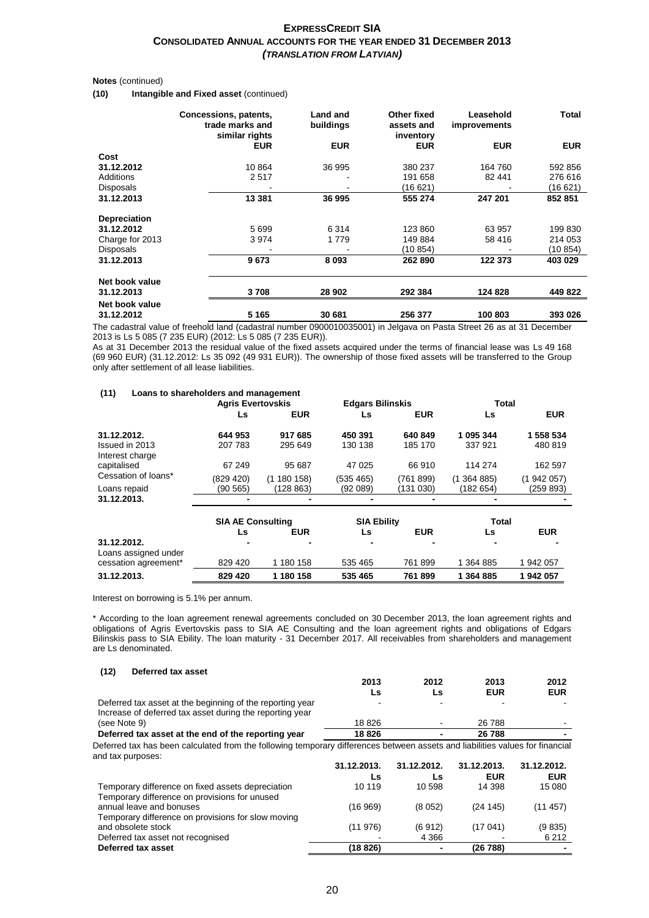**Notes** (continued)

**(10) Intangible and Fixed asset** (continued)

|                     | Concessions, patents,<br>trade marks and<br>similar rights | <b>Land and</b><br>buildings | Other fixed<br>assets and<br>inventory | Leasehold<br><i>improvements</i> | Total      |
|---------------------|------------------------------------------------------------|------------------------------|----------------------------------------|----------------------------------|------------|
|                     | <b>EUR</b>                                                 | <b>EUR</b>                   | <b>EUR</b>                             | <b>EUR</b>                       | <b>EUR</b> |
| Cost                |                                                            |                              |                                        |                                  |            |
| 31.12.2012          | 10 864                                                     | 36 995                       | 380 237                                | 164 760                          | 592 856    |
| Additions           | 2517                                                       |                              | 191 658                                | 82 441                           | 276 616    |
| <b>Disposals</b>    |                                                            |                              | (16 621)                               |                                  | (16621)    |
| 31.12.2013          | 13 381                                                     | 36 995                       | 555 274                                | 247 201                          | 852 851    |
| <b>Depreciation</b> |                                                            |                              |                                        |                                  |            |
| 31.12.2012          | 5699                                                       | 6 3 1 4                      | 123860                                 | 63 957                           | 199 830    |
| Charge for 2013     | 3974                                                       | 1 7 7 9                      | 149884                                 | 58 416                           | 214 053    |
| <b>Disposals</b>    |                                                            |                              | (10 854)                               |                                  | (10 854)   |
| 31.12.2013          | 9673                                                       | 8 0 9 3                      | 262 890                                | 122 373                          | 403 029    |
| Net book value      |                                                            |                              |                                        |                                  |            |
| 31.12.2013          | 3708                                                       | 28 902                       | 292 384                                | 124 828                          | 449 822    |
| Net book value      |                                                            |                              |                                        |                                  |            |
| 31.12.2012          | 5 1 6 5                                                    | 30 681                       | 256 377                                | 100 803                          | 393 026    |

The cadastral value of freehold land (cadastral number 0900010035001) in Jelgava on Pasta Street 26 as at 31 December 2013 is Ls 5 085 (7 235 EUR) (2012: Ls 5 085 (7 235 EUR)).

As at 31 December 2013 the residual value of the fixed assets acquired under the terms of financial lease was Ls 49 168 (69 960 EUR) (31.12.2012: Ls 35 092 (49 931 EUR)). The ownership of those fixed assets will be transferred to the Group only after settlement of all lease liabilities.

| (11) | Loans to shareholders and management |  |
|------|--------------------------------------|--|
|------|--------------------------------------|--|

|                                   | <b>Agris Evertovskis</b> |                 | <b>Edgars Bilinskis</b> |                    | <b>Total</b>  |                |  |
|-----------------------------------|--------------------------|-----------------|-------------------------|--------------------|---------------|----------------|--|
|                                   | Ls                       | <b>EUR</b>      | Ls.                     | <b>EUR</b>         | Ls            | <b>EUR</b>     |  |
| 31.12.2012.                       | 644 953                  | 917 685         | 450 391                 | 640 849            | 1 095 344     | 1 558 534      |  |
| Issued in 2013<br>Interest charge | 207 783                  | 295 649         | 130 138                 | 185 170            | 337 921       | 480 819        |  |
| capitalised                       | 67 249                   | 95 687          | 47 0 25                 | 66910              | 114 274       | 162 597        |  |
| Cessation of loans*               | (829 420)                | 180 158)<br>(1) | (535 465)               | (761 899)          | (1, 364, 885) | 942 057)<br>(1 |  |
| Loans repaid                      | (90 565)                 | (128 863)       | (92 089)                | (131 030)          | 182 654)      | (259 893)      |  |
| 31.12.2013.                       |                          |                 |                         |                    |               |                |  |
|                                   | <b>SIA AE Consulting</b> |                 |                         | <b>SIA Ebility</b> |               | <b>Total</b>   |  |
|                                   | Ls                       | <b>EUR</b>      | Ls.                     | <b>EUR</b>         | Ls            | <b>EUR</b>     |  |
| 31.12.2012.                       |                          |                 |                         |                    |               |                |  |
| Loans assigned under              |                          |                 |                         |                    |               |                |  |
| cessation agreement*              | 829 420                  | 1 180 158       | 535 465                 | 761899             | 1 364 885     | 1 942 057      |  |
| 31.12.2013.                       | 829 420                  | 1 180 158       | 535 465                 | 761899             | 1 364 885     | 1942057        |  |

Interest on borrowing is 5.1% per annum.

\* According to the loan agreement renewal agreements concluded on 30 December 2013, the loan agreement rights and obligations of Agris Evertovskis pass to SIA AE Consulting and the loan agreement rights and obligations of Edgars Bilinskis pass to SIA Ebility. The loan maturity - 31 December 2017. All receivables from shareholders and management are Ls denominated.

#### **(12) Deferred tax asset**

|                                                                                                                       | 2013    | 2012                     | 2013       | 2012       |
|-----------------------------------------------------------------------------------------------------------------------|---------|--------------------------|------------|------------|
|                                                                                                                       | Ls      | LS                       | <b>EUR</b> | <b>EUR</b> |
| Deferred tax asset at the beginning of the reporting year<br>Increase of deferred tax asset during the reporting year | -       | $\overline{\phantom{0}}$ | -          |            |
| (see Note 9)                                                                                                          | 18826   | $\blacksquare$           | 26 788     |            |
| Deferred tax asset at the end of the reporting year                                                                   | 18 8 26 | $\overline{\phantom{0}}$ | 26 788     |            |

Deferred tax has been calculated from the following temporary differences between assets and liabilities values for financial and tax purposes:

|                                                    | 31.12.2013.<br>Ls | 31.12.2012.<br>Ls | 31.12.2013.<br><b>EUR</b> | 31.12.2012.<br><b>EUR</b> |
|----------------------------------------------------|-------------------|-------------------|---------------------------|---------------------------|
| Temporary difference on fixed assets depreciation  | 10 119            | 10 598            | 14 398                    | 15 080                    |
| Temporary difference on provisions for unused      |                   |                   |                           |                           |
| annual leave and bonuses                           | (16969)           | (8052)            | (24145)                   | (11457)                   |
| Temporary difference on provisions for slow moving |                   |                   |                           |                           |
| and obsolete stock                                 | (11976)           | (6912)            | (17041)                   | (9835)                    |
| Deferred tax asset not recognised                  |                   | 4 3 6 6           |                           | 6 2 1 2                   |
| Deferred tax asset                                 | (18826)           | ٠                 | (26 788)                  |                           |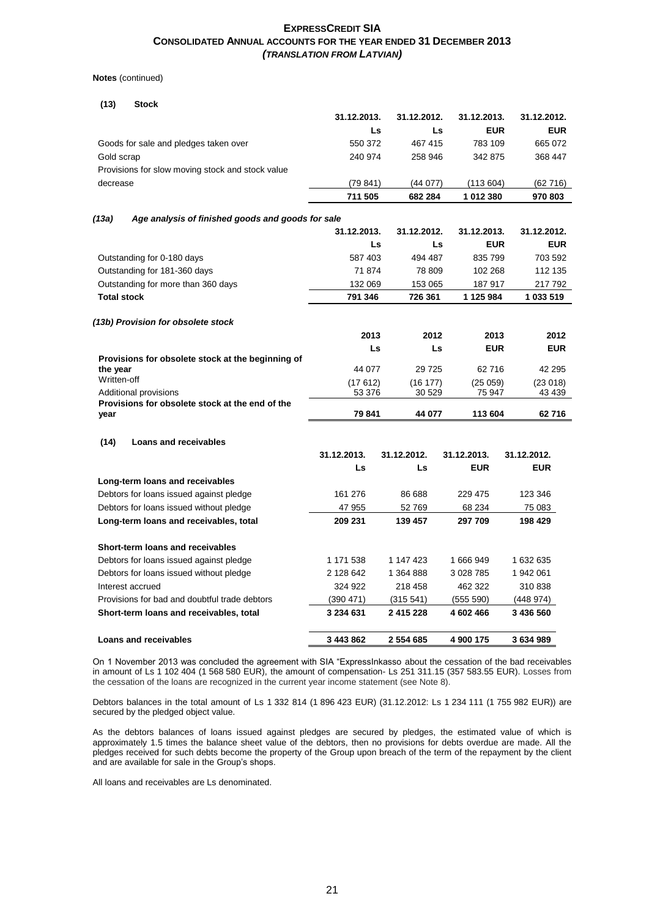**Notes** (continued)

| (13)<br><b>Stock</b>                                                     |             |      |             |             |             |
|--------------------------------------------------------------------------|-------------|------|-------------|-------------|-------------|
|                                                                          | 31.12.2013. |      | 31.12.2012. | 31.12.2013. | 31.12.2012. |
|                                                                          |             | Ls   | Ls          | <b>EUR</b>  | <b>EUR</b>  |
| Goods for sale and pledges taken over                                    | 550 372     |      | 467 415     | 783 109     | 665 072     |
| Gold scrap                                                               | 240 974     |      | 258 946     | 342 875     | 368 447     |
| Provisions for slow moving stock and stock value                         |             |      |             |             |             |
| decrease                                                                 | (79841)     |      | (44077)     | (113604)    | (62716)     |
|                                                                          | 711 505     |      | 682 284     | 1 012 380   | 970 803     |
| Age analysis of finished goods and goods for sale<br>(13a)               |             |      |             |             |             |
|                                                                          | 31.12.2013. |      | 31.12.2012. | 31.12.2013. | 31.12.2012. |
|                                                                          |             | Ls   | Ls          | <b>EUR</b>  | <b>EUR</b>  |
| Outstanding for 0-180 days                                               | 587 403     |      | 494 487     | 835 799     | 703 592     |
| Outstanding for 181-360 days                                             | 71 874      |      | 78 809      | 102 268     | 112 135     |
| Outstanding for more than 360 days                                       | 132 069     |      | 153 065     | 187 917     | 217 792     |
| <b>Total stock</b>                                                       | 791 346     |      | 726 361     | 1 125 984   | 1 033 519   |
| (13b) Provision for obsolete stock                                       |             |      |             |             |             |
|                                                                          |             | 2013 | 2012        | 2013        | 2012        |
|                                                                          |             | Ls   | Ls          | <b>EUR</b>  | <b>EUR</b>  |
| Provisions for obsolete stock at the beginning of                        |             |      |             |             |             |
| the year                                                                 | 44 077      |      | 29 7 25     | 62 716      | 42 295      |
| Written-off                                                              | (17612)     |      | (16 177)    | (25059)     | (23018)     |
| Additional provisions<br>Provisions for obsolete stock at the end of the | 53 376      |      | 30 529      | 75 947      | 43 439      |
| year                                                                     | 79 841      |      | 44 077      | 113 604     | 62716       |
|                                                                          |             |      |             |             |             |
| (14)<br>Loans and receivables                                            |             |      |             |             |             |
|                                                                          | 31.12.2013. |      | 31.12.2012. | 31.12.2013. | 31.12.2012. |
|                                                                          | Ls.         |      | Ls          | <b>EUR</b>  | <b>EUR</b>  |
| Long-term loans and receivables                                          |             |      |             |             |             |
| Debtors for loans issued against pledge                                  | 161 276     |      | 86 688      | 229 475     | 123 346     |
| Debtors for loans issued without pledge                                  | 47 955      |      | 52769       | 68 234      | 75 083      |
| Long-term loans and receivables, total                                   | 209 231     |      | 139 457     | 297 709     | 198 429     |
| Short-term loans and receivables                                         |             |      |             |             |             |
| Debtors for loans issued against pledge                                  | 1 171 538   |      | 1 147 423   | 1 666 949   | 1 632 635   |
| Debtors for loans issued without pledge                                  | 2 128 642   |      | 1 364 888   | 3 028 785   | 1942061     |
| Interest accrued                                                         | 324 922     |      | 218 458     | 462 322     | 310838      |
| Provisions for bad and doubtful trade debtors                            | (390 471)   |      | (315 541)   | (555 590)   | (448 974)   |
| Short-term loans and receivables, total                                  | 3 234 631   |      | 2 415 228   | 4602466     | 3 436 560   |
|                                                                          |             |      |             |             |             |
| Loans and receivables                                                    | 3 443 862   |      | 2 554 685   | 4 900 175   | 3 634 989   |

On 1 November 2013 was concluded the agreement with SIA "ExpressInkasso about the cessation of the bad receivables in amount of Ls 1 102 404 (1 568 580 EUR), the amount of compensation- Ls 251 311.15 (357 583.55 EUR). Losses from the cessation of the loans are recognized in the current year income statement (see Note 8).

Debtors balances in the total amount of Ls 1 332 814 (1 896 423 EUR) (31.12.2012: Ls 1 234 111 (1 755 982 EUR)) are secured by the pledged object value.

As the debtors balances of loans issued against pledges are secured by pledges, the estimated value of which is approximately 1.5 times the balance sheet value of the debtors, then no provisions for debts overdue are made. All the pledges received for such debts become the property of the Group upon breach of the term of the repayment by the client and are available for sale in the Group's shops.

All loans and receivables are Ls denominated.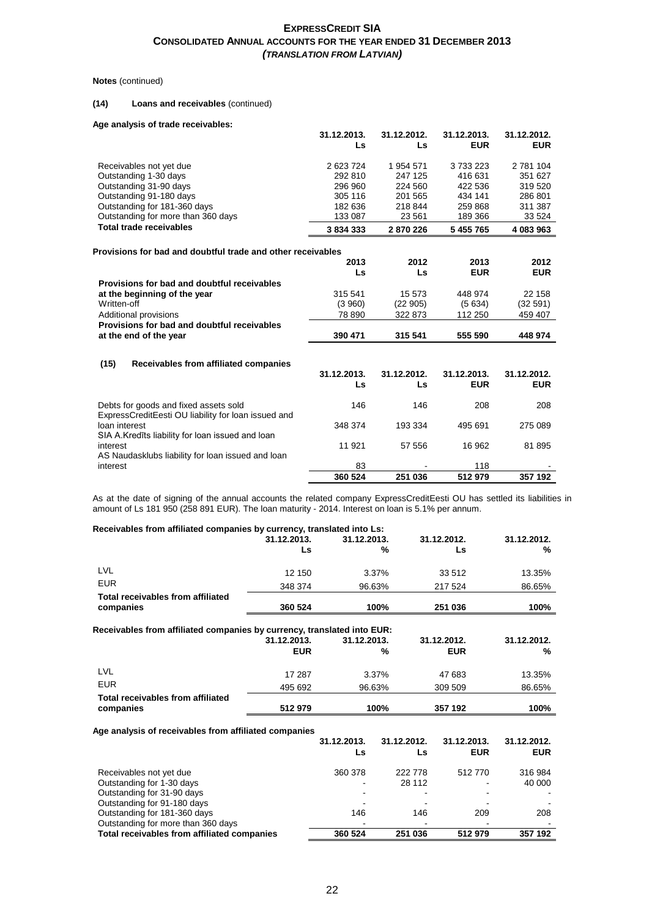**Notes** (continued)

### **(14) Loans and receivables** (continued)

### **Age analysis of trade receivables:**

|                                                                      | 31.12.2013.<br>Ls | 31.12.2012.<br>Ls | 31.12.2013.<br><b>EUR</b> | 31.12.2012.<br><b>EUR</b> |
|----------------------------------------------------------------------|-------------------|-------------------|---------------------------|---------------------------|
| Receivables not yet due                                              | 2 623 724         | 1 954 571         | 3733223                   | 2 781 104                 |
| Outstanding 1-30 days                                                | 292 810           | 247 125           | 416 631                   | 351 627                   |
| Outstanding 31-90 days                                               | 296 960           | 224 560           | 422 536                   | 319 520                   |
| Outstanding 91-180 days                                              | 305 116           | 201 565           | 434 141                   | 286 801                   |
| Outstanding for 181-360 days                                         | 182 636           | 218 844           | 259 868                   | 311 387                   |
| Outstanding for more than 360 days                                   | 133 087           | 23 561            | 189 366                   | 33 5 24                   |
| <b>Total trade receivables</b>                                       | 3834333           | 2870226           | 5 455 765                 | 4 083 963                 |
| Provisions for bad and doubtful trade and other receivables          |                   |                   |                           |                           |
|                                                                      | 2013              | 2012              | 2013                      | 2012                      |
|                                                                      | Ls                | <b>Ls</b>         | <b>EUR</b>                | <b>EUR</b>                |
| Provisions for bad and doubtful receivables                          |                   |                   |                           |                           |
| at the beginning of the year                                         | 315 541           | 15 573            | 448 974                   | 22 158                    |
| Written-off                                                          | (3960)            | (22905)           | (5634)                    | (32591)                   |
| Additional provisions                                                | 78 890            | 322 873           | 112 250                   | 459 407                   |
| Provisions for bad and doubtful receivables                          |                   |                   |                           |                           |
| at the end of the year                                               | 390 471           | 315 541           | 555 590                   | 448 974                   |
|                                                                      |                   |                   |                           |                           |
| (15)<br>Receivables from affiliated companies                        |                   |                   |                           |                           |
|                                                                      | 31.12.2013.       | 31.12.2012.       | 31.12.2013.               | 31.12.2012.               |
|                                                                      | Ls                | Ls                | <b>EUR</b>                | <b>EUR</b>                |
| Debts for goods and fixed assets sold                                | 146               | 146               | 208                       | 208                       |
| ExpressCreditEesti OU liability for loan issued and<br>loan interest | 348 374           | 193 334           | 495 691                   | 275 089                   |
| SIA A.Kredīts liability for loan issued and loan                     |                   |                   |                           |                           |
| interest                                                             | 11 921            | 57 556            | 16 962                    | 81895                     |
| AS Naudasklubs liability for loan issued and loan                    |                   |                   |                           |                           |
| interest                                                             | 83                |                   | 118                       |                           |
|                                                                      | 360 524           | 251 036           | 512979                    | 357 192                   |

As at the date of signing of the annual accounts the related company ExpressCreditEesti OU has settled its liabilities in amount of Ls 181 950 (258 891 EUR). The loan maturity - 2014. Interest on loan is 5.1% per annum.

| Receivables from affiliated companies by currency, translated into Ls:  |             |             |             |             |             |
|-------------------------------------------------------------------------|-------------|-------------|-------------|-------------|-------------|
|                                                                         | 31.12.2013. | 31.12.2013. |             | 31.12.2012. | 31.12.2012. |
|                                                                         | Ls          |             | %           | Ls          | %           |
| LVL                                                                     | 12 150      |             | 3.37%       | 33 512      | 13.35%      |
| <b>EUR</b>                                                              | 348 374     |             | 96.63%      | 217 524     | 86.65%      |
| Total receivables from affiliated                                       |             |             |             |             |             |
| companies                                                               | 360 524     |             | 100%        | 251 036     | 100%        |
| Receivables from affiliated companies by currency, translated into EUR: |             |             |             |             |             |
|                                                                         | 31.12.2013. | 31.12.2013. |             | 31.12.2012. | 31.12.2012. |
|                                                                         | <b>EUR</b>  |             | %           | <b>EUR</b>  | %           |
|                                                                         |             |             |             |             |             |
| LVL                                                                     | 17 287      |             | 3.37%       | 47 683      | 13.35%      |
| <b>EUR</b>                                                              | 495 692     |             | 96.63%      | 309 509     | 86.65%      |
| <b>Total receivables from affiliated</b>                                |             |             |             |             |             |
| companies                                                               | 512979      |             | 100%        | 357 192     | 100%        |
| Age analysis of receivables from affiliated companies                   |             |             |             |             |             |
|                                                                         |             | 31.12.2013. | 31.12.2012. | 31.12.2013. | 31.12.2012. |
|                                                                         |             | Ls          | Ls          | <b>EUR</b>  | <b>EUR</b>  |
| Receivables not yet due                                                 |             | 360 378     | 222 778     | 512770      | 316 984     |
| Outstanding for 1-30 days                                               |             |             | 28 112      |             | 40 000      |
| Outstanding for 31-90 days                                              |             |             |             |             |             |
| Outstanding for 91-180 days                                             |             |             |             |             |             |
| Outstanding for 181-360 days                                            |             | 146         | 146         | 209         | 208         |

Outstanding for more than 360 days and the set of the set of the set of the set of the set of the set of the set of the set of the set of the set of the set of the set of the set of the set of the set of the set of the set **Total receivables from affiliated companies 360 524 251 036 512 979 357 192**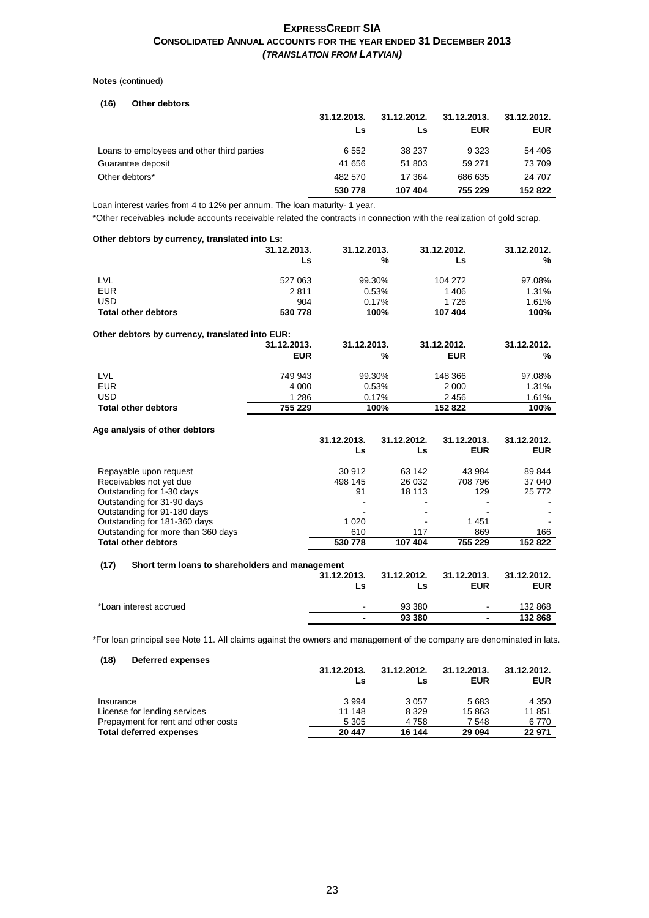**Notes** (continued)

| (16)<br><b>Other debtors</b>               |             |             |             |             |
|--------------------------------------------|-------------|-------------|-------------|-------------|
|                                            | 31.12.2013. | 31.12.2012. | 31.12.2013. | 31.12.2012. |
|                                            | Ls          | Ls          | <b>EUR</b>  | <b>EUR</b>  |
| Loans to employees and other third parties | 6 5 5 2     | 38 237      | 9 3 2 3     | 54 406      |
| Guarantee deposit                          | 41 656      | 51 803      | 59 271      | 73 709      |
| Other debtors*                             | 482 570     | 17 364      | 686 635     | 24 707      |
|                                            | 530 778     | 107 404     | 755 229     | 152822      |

Loan interest varies from 4 to 12% per annum. The loan maturity- 1 year.

\*Other receivables include accounts receivable related the contracts in connection with the realization of gold scrap.

|                                                                    | Other debtors by currency, translated into Ls:<br>31.12.2013. | 31.12.2013.    |             | 31.12.2012. | 31.12.2012. |
|--------------------------------------------------------------------|---------------------------------------------------------------|----------------|-------------|-------------|-------------|
|                                                                    | Ls                                                            |                | %           | Ls.         | %           |
| <b>LVL</b>                                                         | 527 063                                                       |                | 99.30%      | 104 272     | 97.08%      |
| <b>EUR</b>                                                         | 2811                                                          |                | 0.53%       | 1 4 0 6     | 1.31%       |
| <b>USD</b>                                                         | 904                                                           |                | 0.17%       | 1726        | 1.61%       |
| <b>Total other debtors</b>                                         | 530 778                                                       |                | 100%        | 107 404     | 100%        |
| Other debtors by currency, translated into EUR:                    |                                                               |                |             |             |             |
|                                                                    | 31.12.2013.                                                   | 31.12.2013.    |             | 31.12.2012. | 31.12.2012. |
|                                                                    | <b>EUR</b>                                                    |                | %           | <b>EUR</b>  | %           |
| <b>LVL</b>                                                         | 749 943                                                       |                | 99.30%      | 148 366     | 97.08%      |
| <b>EUR</b>                                                         | 4 000                                                         |                | 0.53%       | 2 0 0 0     | 1.31%       |
| <b>USD</b>                                                         | 1 2 8 6                                                       |                | 0.17%       | 2 4 5 6     | 1.61%       |
| <b>Total other debtors</b>                                         | 755 229                                                       |                | 100%        | 152 822     |             |
| Age analysis of other debtors                                      |                                                               |                |             |             |             |
|                                                                    |                                                               | 31.12.2013.    | 31.12.2012. | 31.12.2013. | 31.12.2012. |
|                                                                    |                                                               | Ls             | Ls          | <b>EUR</b>  | <b>EUR</b>  |
| Repayable upon request                                             |                                                               | 30 912         | 63 142      | 43 984      | 89 844      |
| Receivables not yet due                                            |                                                               | 498 145        | 26 032      | 708 796     | 37 040      |
| Outstanding for 1-30 days                                          |                                                               | 91             | 18 113      | 129         | 25 772      |
| Outstanding for 31-90 days                                         |                                                               |                |             |             |             |
| Outstanding for 91-180 days                                        |                                                               |                |             |             |             |
| Outstanding for 181-360 days<br>Outstanding for more than 360 days |                                                               | 1 0 2 0<br>610 | 117         | 1451<br>869 | 166         |
| <b>Total other debtors</b>                                         |                                                               | 530 778        | 107 404     | 755 229     | 152 822     |
|                                                                    |                                                               |                |             |             |             |
| (17)<br>Short term loans to shareholders and management            |                                                               | 31.12.2013.    | 31.12.2012. | 31.12.2013. | 31.12.2012. |
|                                                                    |                                                               | Ls             | Ls          | <b>EUR</b>  | <b>EUR</b>  |
|                                                                    |                                                               |                | 93 380      |             | 132 868     |
| *Loan interest accrued                                             |                                                               |                | 93 380      |             | 132 868     |

|                                     | 31.12.2013. | 31.12.2012. | 31.12.2013.<br><b>EUR</b> | 31.12.2012.<br><b>EUR</b> |
|-------------------------------------|-------------|-------------|---------------------------|---------------------------|
| Insurance                           | 3 9 9 4     | 3 0 5 7     | 5683                      | 4 3 5 0                   |
| License for lending services        | 11 148      | 8 3 2 9     | 15 863                    | 11851                     |
| Prepayment for rent and other costs | 5 3 0 5     | 4 7 5 8     | 7 548                     | 6770                      |
| <b>Total deferred expenses</b>      | 20 447      | 16 144      | 29 0 94                   | 22 971                    |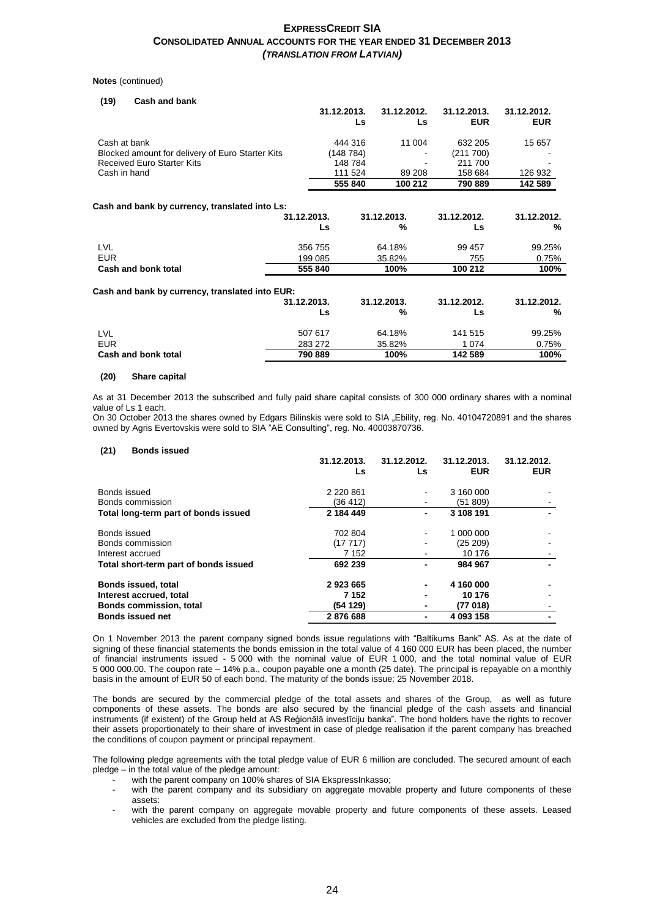#### **Notes** (continued)

| (19)<br>Cash and bank                            |             |             |             |             |             |
|--------------------------------------------------|-------------|-------------|-------------|-------------|-------------|
|                                                  |             | 31.12.2013. | 31.12.2012. | 31.12.2013. | 31.12.2012. |
|                                                  |             | Ls          | Ls          | <b>EUR</b>  | <b>EUR</b>  |
| Cash at bank                                     |             | 444 316     | 11 004      | 632 205     | 15 657      |
| Blocked amount for delivery of Euro Starter Kits |             | (148 784)   |             | (211700)    |             |
| <b>Received Euro Starter Kits</b>                |             | 148784      |             | 211 700     |             |
| Cash in hand                                     |             | 111 524     | 89 208      | 158 684     | 126 932     |
|                                                  |             | 555 840     | 100 212     | 790 889     | 142 589     |
| Cash and bank by currency, translated into Ls:   |             |             |             |             |             |
|                                                  | 31.12.2013. |             | 31.12.2013. | 31.12.2012. | 31.12.2012. |
|                                                  | Ls          |             | %           | Ls          | %           |
| <b>LVL</b>                                       | 356 755     |             | 64.18%      | 99 457      | 99.25%      |
| <b>EUR</b>                                       | 199 085     |             | 35.82%      | 755         | 0.75%       |
| Cash and bonk total                              | 555 840     |             | 100%        | 100 212     | 100%        |
| Cash and bank by currency, translated into EUR:  |             |             |             |             |             |
|                                                  | 31.12.2013. |             | 31.12.2013. | 31.12.2012. | 31.12.2012. |
|                                                  | Ls          |             | %           | Ls          | %           |
| <b>LVL</b>                                       | 507 617     |             | 64.18%      | 141 515     | 99.25%      |
| <b>EUR</b>                                       | 283 272     |             | 35.82%      | 1 0 7 4     | 0.75%       |
| Cash and bonk total                              | 790 889     |             | 100%        | 142 589     | 100%        |

#### **(20) Share capital**

As at 31 December 2013 the subscribed and fully paid share capital consists of 300 000 ordinary shares with a nominal value of Ls 1 each.

On 30 October 2013 the shares owned by Edgars Bilinskis were sold to SIA "Ebility, reg. No. 40104720891 and the shares owned by Agris Evertovskis were sold to SIA "AE Consulting", reg. No. 40003870736.

#### **(21) Bonds issued**

|                                       | 31.12.2013.<br>Ls | 31.12.2012.<br><b>Ls</b> | 31.12.2013.<br><b>EUR</b> | 31.12.2012.<br><b>EUR</b> |
|---------------------------------------|-------------------|--------------------------|---------------------------|---------------------------|
| Bonds issued                          | 2 2 2 0 8 6 1     | $\blacksquare$           | 3 160 000                 |                           |
| Bonds commission                      | (36 412)          |                          | (51 809)                  |                           |
| Total long-term part of bonds issued  | 2 184 449         | -                        | 3 108 191                 |                           |
| Bonds issued                          | 702 804           | $\blacksquare$           | 1 000 000                 |                           |
| Bonds commission                      | (17 717)          |                          | (25 209)                  |                           |
| Interest accrued                      | 7 152             |                          | 10 176                    |                           |
| Total short-term part of bonds issued | 692 239           | -                        | 984 967                   |                           |
| <b>Bonds issued, total</b>            | 2923665           | ٠                        | 4 160 000                 |                           |
| Interest accrued, total               | 7 152             |                          | 10 176                    |                           |
| <b>Bonds commission, total</b>        | (54 129)          | ٠                        | (77 018)                  |                           |
| <b>Bonds issued net</b>               | 2876688           |                          | 4 093 158                 |                           |

On 1 November 2013 the parent company signed bonds issue regulations with "Baltikums Bank" AS. As at the date of signing of these financial statements the bonds emission in the total value of 4 160 000 EUR has been placed, the number of financial instruments issued - 5 000 with the nominal value of EUR 1 000, and the total nominal value of EUR 5 000 000.00. The coupon rate – 14% p.a., coupon payable one a month (25 date). The principal is repayable on a monthly basis in the amount of EUR 50 of each bond. The maturity of the bonds issue: 25 November 2018.

The bonds are secured by the commercial pledge of the total assets and shares of the Group, as well as future components of these assets. The bonds are also secured by the financial pledge of the cash assets and financial instruments (if existent) of the Group held at AS Reģionālā investīciju banka". The bond holders have the rights to recover their assets proportionately to their share of investment in case of pledge realisation if the parent company has breached the conditions of coupon payment or principal repayment.

The following pledge agreements with the total pledge value of EUR 6 million are concluded. The secured amount of each pledge – in the total value of the pledge amount:

- with the parent company on 100% shares of SIA EkspressInkasso;
- with the parent company and its subsidiary on aggregate movable property and future components of these assets:
- with the parent company on aggregate movable property and future components of these assets. Leased vehicles are excluded from the pledge listing.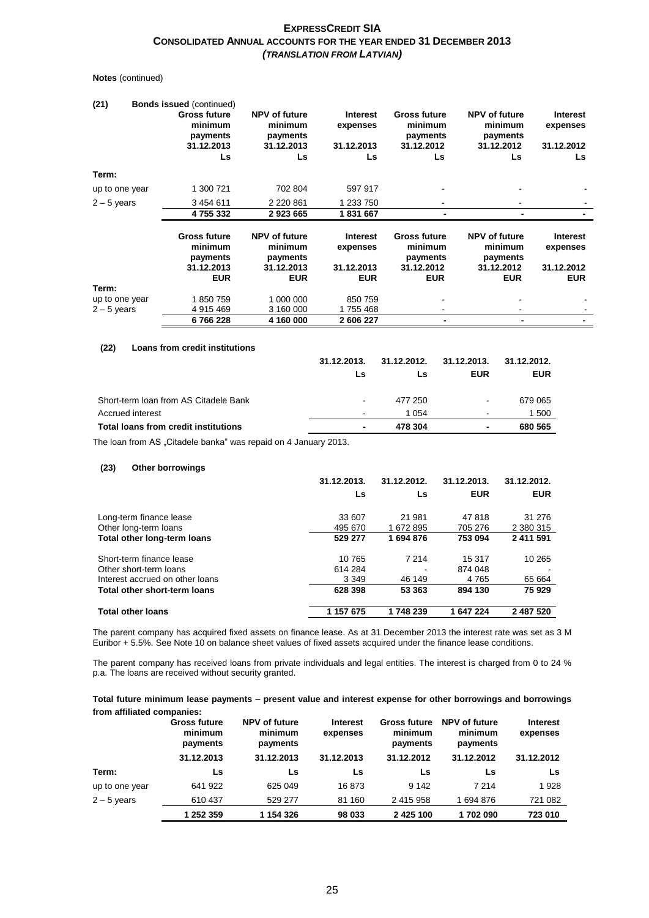### **Notes** (continued)

| (21)           | <b>Bonds issued (continued)</b>                          |                                                           |                                           |                                                          |                                                           |                                           |
|----------------|----------------------------------------------------------|-----------------------------------------------------------|-------------------------------------------|----------------------------------------------------------|-----------------------------------------------------------|-------------------------------------------|
|                | <b>Gross future</b><br>minimum<br>payments<br>31.12.2013 | <b>NPV of future</b><br>minimum<br>payments<br>31.12.2013 | <b>Interest</b><br>expenses<br>31.12.2013 | <b>Gross future</b><br>minimum<br>payments<br>31.12.2012 | <b>NPV of future</b><br>minimum<br>payments<br>31.12.2012 | <b>Interest</b><br>expenses<br>31.12.2012 |
|                | Ls                                                       | Ls                                                        | <b>Ls</b>                                 | Ls                                                       | Ls                                                        | Ls.                                       |
| Term:          |                                                          |                                                           |                                           |                                                          |                                                           |                                           |
| up to one year | 1 300 721                                                | 702 804                                                   | 597 917                                   |                                                          |                                                           |                                           |
| $2 - 5$ years  | 3 454 611                                                | 2 2 2 0 8 6 1                                             | 1 233 750                                 | $\overline{\phantom{0}}$                                 |                                                           |                                           |
|                | 4755332                                                  | 2923665                                                   | 1831667                                   |                                                          |                                                           |                                           |
|                | <b>Gross future</b><br>minimum<br>payments               | <b>NPV of future</b><br>minimum<br>payments               | <b>Interest</b><br>expenses               | <b>Gross future</b><br>minimum<br>payments               | <b>NPV of future</b><br>minimum<br>payments               | <b>Interest</b><br>expenses               |
|                | 31.12.2013                                               | 31.12.2013                                                | 31.12.2013                                | 31.12.2012                                               | 31.12.2012                                                | 31.12.2012                                |
| Term:          | <b>EUR</b>                                               | <b>EUR</b>                                                | <b>EUR</b>                                | <b>EUR</b>                                               | <b>EUR</b>                                                | <b>EUR</b>                                |
| up to one year | 1850759                                                  | 1 000 000                                                 | 850 759                                   |                                                          |                                                           |                                           |
| $2 - 5$ years  | 4 915 469                                                | 3 160 000                                                 | 1755468                                   |                                                          |                                                           |                                           |
|                | 6766228                                                  | 4 160 000                                                 | 2 606 227                                 |                                                          |                                                           |                                           |

|                                       | 31.12.2013.<br>Ls        | Ls      | 31.12.2012. 31.12.2013.<br><b>EUR</b> | 31.12.2012.<br><b>EUR</b> |
|---------------------------------------|--------------------------|---------|---------------------------------------|---------------------------|
| Short-term loan from AS Citadele Bank | $\blacksquare$           | 477 250 | $\qquad \qquad \blacksquare$          | 679 065                   |
| Accrued interest                      | $\blacksquare$           | 1 0 5 4 | ۰                                     | 1 500                     |
| Total loans from credit institutions  | $\overline{\phantom{0}}$ | 478 304 | -                                     | 680 565                   |

The loan from AS "Citadele banka" was repaid on 4 January 2013.

#### **(23) Other borrowings**

|                                 | 31.12.2013. | 31.12.2012. | 31.12.2013. | 31.12.2012. |
|---------------------------------|-------------|-------------|-------------|-------------|
|                                 | Ls          | Ls          | <b>EUR</b>  | <b>EUR</b>  |
| Long-term finance lease         | 33 607      | 21 981      | 47818       | 31 276      |
| Other long-term loans           | 495 670     | 1672895     | 705 276     | 2 380 315   |
| Total other long-term loans     | 529 277     | 1694876     | 753 094     | 2 411 591   |
| Short-term finance lease        | 10 765      | 7 2 1 4     | 15 317      | 10 265      |
| Other short-term loans          | 614 284     |             | 874 048     |             |
| Interest accrued on other loans | 3 3 4 9     | 46 149      | 4 7 6 5     | 65 664      |
| Total other short-term loans    | 628 398     | 53 363      | 894 130     | 75929       |
| <b>Total other loans</b>        | 1 157 675   | 748 239     | 1 647 224   | 2 487 520   |

The parent company has acquired fixed assets on finance lease. As at 31 December 2013 the interest rate was set as 3 M Euribor + 5.5%. See Note 10 on balance sheet values of fixed assets acquired under the finance lease conditions.

The parent company has received loans from private individuals and legal entities. The interest is charged from 0 to 24 % p.a. The loans are received without security granted.

**Total future minimum lease payments – present value and interest expense for other borrowings and borrowings from affiliated companies:**

|                | <b>Gross future</b><br>minimum<br>payments | <b>NPV</b> of future<br>minimum<br>payments | <b>Interest</b><br>expenses | Gross future<br>minimum<br>payments | <b>NPV</b> of future<br>minimum<br>payments | <b>Interest</b><br>expenses |
|----------------|--------------------------------------------|---------------------------------------------|-----------------------------|-------------------------------------|---------------------------------------------|-----------------------------|
|                | 31.12.2013                                 | 31.12.2013                                  | 31.12.2013                  | 31.12.2012                          | 31.12.2012                                  | 31.12.2012                  |
| Term:          | <b>Ls</b>                                  | Ls                                          | Ls                          | Ls                                  | Ls                                          | Ls                          |
| up to one year | 641 922                                    | 625 049                                     | 16873                       | 9 1 4 2                             | 7 2 1 4                                     | 1928                        |
| $2 - 5$ years  | 610 437                                    | 529 277                                     | 81 160                      | 2 415 958                           | 1694876                                     | 721 082                     |
|                | 1 252 359                                  | 1 154 326                                   | 98 033                      | 2 4 2 5 1 0 0                       | 1702090                                     | 723 010                     |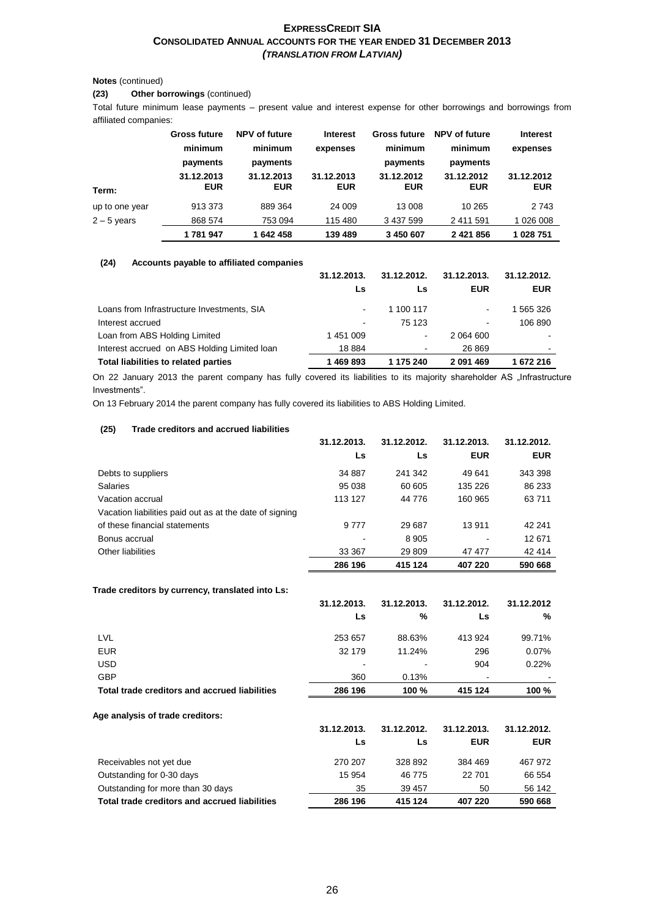### **Notes** (continued)

### **(23) Other borrowings** (continued)

Total future minimum lease payments – present value and interest expense for other borrowings and borrowings from affiliated companies:

|                | <b>Gross future</b><br>minimum<br>payments<br>31.12.2013 | <b>NPV</b> of future<br>minimum<br>payments<br>31.12.2013 | <b>Interest</b><br>expenses<br>31.12.2013 | Gross future<br>minimum<br>payments<br>31.12.2012 | <b>NPV</b> of future<br>minimum<br>payments<br>31.12.2012 | <b>Interest</b><br>expenses<br>31.12.2012 |
|----------------|----------------------------------------------------------|-----------------------------------------------------------|-------------------------------------------|---------------------------------------------------|-----------------------------------------------------------|-------------------------------------------|
| Term:          | <b>EUR</b>                                               | <b>EUR</b>                                                | <b>EUR</b>                                | <b>EUR</b>                                        | <b>EUR</b>                                                | <b>EUR</b>                                |
| up to one year | 913 373                                                  | 889 364                                                   | 24 009                                    | 13 008                                            | 10 265                                                    | 2 7 4 3                                   |
| $2 - 5$ years  | 868 574                                                  | 753 094                                                   | 115 480                                   | 3 437 599                                         | 2 411 591                                                 | 1 026 008                                 |
|                | 1781947                                                  | 1 642 458                                                 | 139 489                                   | 3 450 607                                         | 2 4 2 1 8 5 6                                             | 1 028 751                                 |

### **(24) Accounts payable to affiliated companies**

|                                              | 31.12.2013.              | 31.12.2012.    | 31.12.2013.    | 31.12.2012. |
|----------------------------------------------|--------------------------|----------------|----------------|-------------|
|                                              | Ls                       | Ls             | <b>EUR</b>     | <b>EUR</b>  |
| Loans from Infrastructure Investments, SIA   | $\blacksquare$           | 1 100 117      | $\blacksquare$ | 1 565 326   |
| Interest accrued                             | $\overline{\phantom{a}}$ | 75 123         | $\sim$         | 106 890     |
| Loan from ABS Holding Limited                | 1451009                  | $\blacksquare$ | 2 0 64 6 0 0   | -           |
| Interest accrued on ABS Holding Limited Ioan | 18 8 84                  | $\,$           | 26 869         | -           |
| <b>Total liabilities to related parties</b>  | 1469893                  | 1 175 240      | 2 091 469      | 672 216     |

On 22 January 2013 the parent company has fully covered its liabilities to its majority shareholder AS "Infrastructure Investments".

On 13 February 2014 the parent company has fully covered its liabilities to ABS Holding Limited.

### **(25) Trade creditors and accrued liabilities**

|                                                         | 31.12.2013. | 31.12.2012. | 31.12.2013. | 31.12.2012. |
|---------------------------------------------------------|-------------|-------------|-------------|-------------|
|                                                         | Ls          | <b>Ls</b>   | <b>EUR</b>  | <b>EUR</b>  |
| Debts to suppliers                                      | 34 887      | 241 342     | 49 641      | 343 398     |
| <b>Salaries</b>                                         | 95 038      | 60 605      | 135 226     | 86 233      |
| Vacation accrual                                        | 113 127     | 44 776      | 160 965     | 63711       |
| Vacation liabilities paid out as at the date of signing |             |             |             |             |
| of these financial statements                           | 9777        | 29 687      | 13911       | 42 241      |
| Bonus accrual                                           |             | 8 9 0 5     |             | 12 671      |
| Other liabilities                                       | 33 367      | 29 809      | 47 477      | 42 414      |
|                                                         | 286 196     | 415 124     | 407 220     | 590 668     |
|                                                         |             |             |             |             |
| Trade creditors by currency, translated into Ls:        |             |             |             |             |
|                                                         | 31.12.2013. | 31.12.2013. | 31.12.2012. | 31.12.2012  |
|                                                         | Ls          | $\%$        | Ls          | %           |
| LVL                                                     | 253 657     | 88.63%      | 413 924     | 99.71%      |
| <b>EUR</b>                                              | 32 179      | 11.24%      | 296         | 0.07%       |
| <b>USD</b>                                              |             |             | 904         | 0.22%       |
| <b>GBP</b>                                              | 360         | 0.13%       |             |             |
| Total trade creditors and accrued liabilities           | 286 196     | 100 %       | 415 124     | 100 %       |
| Age analysis of trade creditors:                        |             |             |             |             |
|                                                         | 31.12.2013. | 31.12.2012. | 31.12.2013. | 31.12.2012. |
|                                                         | Ls          | Ls          | <b>EUR</b>  | <b>EUR</b>  |
|                                                         |             |             |             |             |
| Receivables not yet due                                 | 270 207     | 328 892     | 384 469     | 467 972     |
| Outstanding for 0-30 days                               | 15 9 54     | 46775       | 22 701      | 66 554      |
| Outstanding for more than 30 days                       | 35          | 39 457      | 50          | 56 142      |
| Total trade creditors and accrued liabilities           | 286 196     | 415 124     | 407 220     | 590 668     |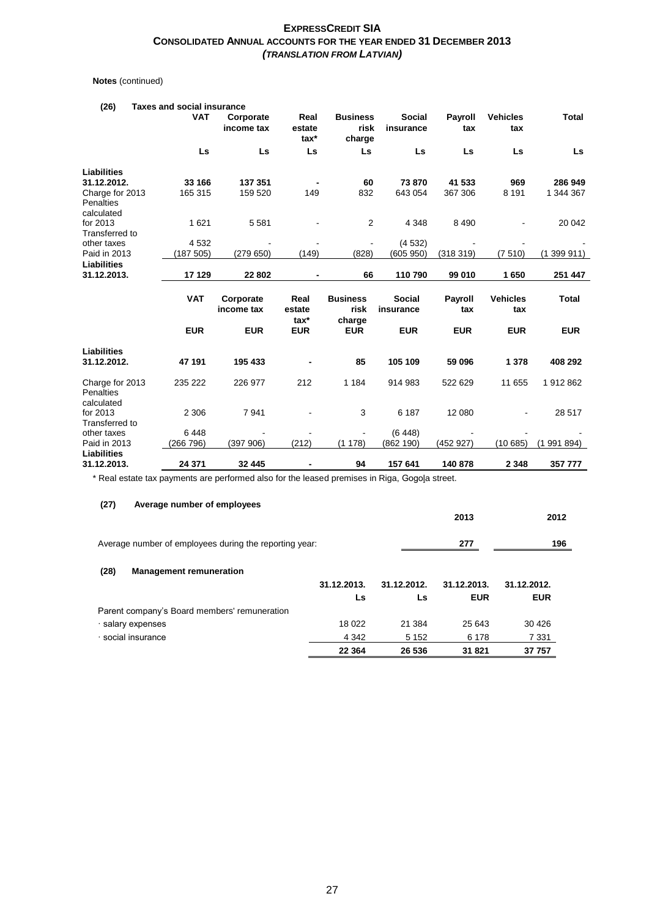**Notes** (continued)

| (26)                                       | <b>Taxes and social insurance</b> |                         |                        |                                   |                            |                       |                        |              |
|--------------------------------------------|-----------------------------------|-------------------------|------------------------|-----------------------------------|----------------------------|-----------------------|------------------------|--------------|
|                                            | <b>VAT</b>                        | Corporate<br>income tax | Real<br>estate<br>tax* | <b>Business</b><br>risk<br>charge | <b>Social</b><br>insurance | <b>Payroll</b><br>tax | <b>Vehicles</b><br>tax | <b>Total</b> |
|                                            | Ls                                | Ls                      | Ls                     | Ls                                | Ls                         | Ls                    | Ls                     | Ls           |
| <b>Liabilities</b>                         |                                   |                         |                        |                                   |                            |                       |                        |              |
| 31.12.2012.                                | 33 166                            | 137 351                 |                        | 60                                | 73 870                     | 41 533                | 969                    | 286 949      |
| Charge for 2013<br>Penalties<br>calculated | 165 315                           | 159 520                 | 149                    | 832                               | 643 054                    | 367 306               | 8 1 9 1                | 1 344 367    |
| for 2013                                   | 1621                              | 5 5 8 1                 |                        | 2                                 | 4 3 4 8                    | 8 4 9 0               |                        | 20 042       |
| <b>Transferred to</b>                      |                                   |                         |                        |                                   |                            |                       |                        |              |
| other taxes                                | 4 5 3 2                           |                         |                        |                                   | (4532)                     |                       |                        |              |
| Paid in 2013                               | (187505)                          | (279650)                | (149)                  | (828)                             | (605950)                   | (318319)              | (7510)                 | (1399911)    |
| <b>Liabilities</b>                         |                                   |                         |                        |                                   |                            |                       |                        |              |
| 31.12.2013.                                | 17 129                            | 22 802                  |                        | 66                                | 110790                     | 99 010                | 1650                   | 251 447      |
|                                            | <b>VAT</b>                        | Corporate<br>income tax | Real<br>estate<br>tax* | <b>Business</b><br>risk<br>charge | <b>Social</b><br>insurance | <b>Payroll</b><br>tax | <b>Vehicles</b><br>tax | <b>Total</b> |
|                                            | <b>EUR</b>                        | <b>EUR</b>              | <b>EUR</b>             | <b>EUR</b>                        | <b>EUR</b>                 | <b>EUR</b>            | <b>EUR</b>             | <b>EUR</b>   |
| <b>Liabilities</b>                         |                                   |                         |                        |                                   |                            |                       |                        |              |
| 31.12.2012.                                | 47 191                            | 195 433                 |                        | 85                                | 105 109                    | 59 096                | 1 3 7 8                | 408 292      |
| Charge for 2013<br>Penalties<br>calculated | 235 222                           | 226 977                 | 212                    | 1 1 8 4                           | 914 983                    | 522 629               | 11 655                 | 1912862      |
| for 2013<br>Transferred to                 | 2 3 0 6                           | 7941                    |                        | 3                                 | 6 187                      | 12 080                |                        | 28 517       |
| other taxes                                | 6448                              |                         |                        |                                   | (6448)                     |                       |                        |              |
| Paid in 2013                               | (266796)                          | (397906)                | (212)                  | (1178)                            | (862 190)                  | (452 927)             | (10685)                | (1991894)    |
| <b>Liabilities</b>                         |                                   |                         |                        |                                   |                            |                       |                        |              |
| 31.12.2013.                                | 24 371                            | 32 445                  |                        | 94                                | 157 641                    | 140 878               | 2 3 4 8                | 357 777      |

\* Real estate tax payments are performed also for the leased premises in Riga, Gogoļa street.

| (27)<br>Average number of employees                    |             |             |             |             |
|--------------------------------------------------------|-------------|-------------|-------------|-------------|
|                                                        |             |             | 2013        | 2012        |
| Average number of employees during the reporting year: |             |             | 277         | 196         |
| (28)<br><b>Management remuneration</b>                 |             |             |             |             |
|                                                        | 31.12.2013. | 31.12.2012. | 31.12.2013. | 31.12.2012. |
|                                                        | Ls          | Ls          | <b>EUR</b>  | <b>EUR</b>  |
| Parent company's Board members' remuneration           |             |             |             |             |
| · salary expenses                                      | 18 0 22     | 21 384      | 25 643      | 30 4 26     |
| · social insurance                                     | 4 3 4 2     | 5 1 5 2     | 6 1 7 8     | 7 3 3 1     |
|                                                        | 22 3 64     | 26 536      | 31 821      | 37 757      |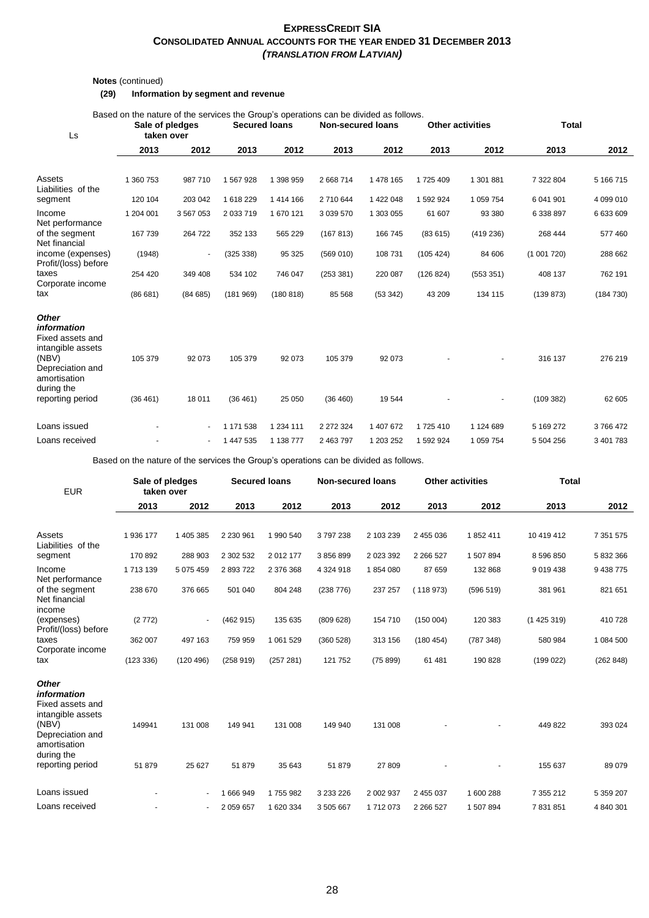### **Notes** (continued)

# **(29) Information by segment and revenue**

# Based on the nature of the services the Group's operations can be divided as follows.

| Ls                                                            | <b>Secured loans</b><br><b>Non-secured loans</b><br>Sale of pledges<br>taken over |                |           | <b>Other activities</b> |             | <b>Total</b> |           |           |           |           |
|---------------------------------------------------------------|-----------------------------------------------------------------------------------|----------------|-----------|-------------------------|-------------|--------------|-----------|-----------|-----------|-----------|
|                                                               | 2013                                                                              | 2012           | 2013      | 2012                    | 2013        | 2012         | 2013      | 2012      | 2013      | 2012      |
|                                                               |                                                                                   |                |           |                         |             |              |           |           |           |           |
| Assets<br>Liabilities of the                                  | 1 360 753                                                                         | 987 710        | 1567928   | 1 398 959               | 2 668 714   | 1 478 165    | 1725409   | 1 301 881 | 7 322 804 | 5 166 715 |
| segment                                                       | 120 104                                                                           | 203 042        | 1618229   | 1 414 166               | 2 710 644   | 1 422 048    | 1 592 924 | 1 059 754 | 6 041 901 | 4 099 010 |
| Income<br>Net performance                                     | 1 204 001                                                                         | 3 567 053      | 2 033 719 | 1 670 121               | 3 0 39 5 70 | 1 303 055    | 61 607    | 93 380    | 6 338 897 | 6 633 609 |
| of the segment<br>Net financial                               | 167 739                                                                           | 264 722        | 352 133   | 565 229                 | (167 813)   | 166 745      | (83615)   | (419 236) | 268 444   | 577 460   |
| income (expenses)<br>Profit/(loss) before                     | (1948)                                                                            | $\overline{a}$ | (325 338) | 95 325                  | (569010)    | 108 731      | (105 424) | 84 606    | (1001720) | 288 662   |
| taxes<br>Corporate income                                     | 254 420                                                                           | 349 408        | 534 102   | 746 047                 | (253 381)   | 220 087      | (126 824) | (553351)  | 408 137   | 762 191   |
| tax                                                           | (86681)                                                                           | (84685)        | (181969)  | (180 818)               | 85 568      | (53342)      | 43 209    | 134 115   | (139 873) | (184730)  |
| Other<br>information<br>Fixed assets and<br>intangible assets |                                                                                   |                |           |                         |             |              |           |           |           |           |
| (NBV)<br>Depreciation and<br>amortisation<br>during the       | 105 379                                                                           | 92 073         | 105 379   | 92 073                  | 105 379     | 92 073       |           |           | 316 137   | 276 219   |
| reporting period                                              | (36 461)                                                                          | 18 011         | (36 461)  | 25 050                  | (36 460)    | 19 544       |           |           | (109382)  | 62 605    |
| Loans issued                                                  |                                                                                   | ٠              | 1 171 538 | 1 2 3 4 1 1 1           | 2 272 324   | 1 407 672    | 1725410   | 1 124 689 | 5 169 272 | 3766472   |
| Loans received                                                |                                                                                   |                | 1 447 535 | 1 138 777               | 2 463 797   | 1 203 252    | 1 592 924 | 1 059 754 | 5 504 256 | 3 401 783 |

Based on the nature of the services the Group's operations can be divided as follows.

| <b>EUR</b>                                                                                                                      | Sale of pledges<br>taken over |                          |                            | <b>Secured loans</b>   | <b>Non-secured loans</b> |                        | <b>Other activities</b>  |                      | <b>Total</b>            |                        |
|---------------------------------------------------------------------------------------------------------------------------------|-------------------------------|--------------------------|----------------------------|------------------------|--------------------------|------------------------|--------------------------|----------------------|-------------------------|------------------------|
|                                                                                                                                 | 2013                          | 2012                     | 2013                       | 2012                   | 2013                     | 2012                   | 2013                     | 2012                 | 2013                    | 2012                   |
| Assets<br>Liabilities of the<br>segment                                                                                         | 1936 177<br>170 892           | 1 405 385<br>288 903     | 2 2 3 0 9 6 1<br>2 302 532 | 1 990 540<br>2 012 177 | 3797238<br>3856899       | 2 103 239<br>2 023 392 | 2 455 036<br>2 2 6 5 2 7 | 1852411<br>1 507 894 | 10 419 412<br>8 596 850 | 7 351 575<br>5 832 366 |
| Income<br>Net performance                                                                                                       | 1 713 139                     | 5 075 459                | 2893722                    | 2 376 368              | 4 3 2 4 9 1 8            | 1854080                | 87 659                   | 132 868              | 9 0 1 9 4 3 8           | 9 438 775              |
| of the segment<br>Net financial<br>income                                                                                       | 238 670                       | 376 665                  | 501 040                    | 804 248                | (238 776)                | 237 257                | (118973)                 | (596 519)            | 381 961                 | 821 651                |
| (expenses)<br>Profit/(loss) before                                                                                              | (2772)                        | $\overline{\phantom{a}}$ | (462915)                   | 135 635                | (809628)                 | 154 710                | (150004)                 | 120 383              | (1425319)               | 410 728                |
| taxes<br>Corporate income                                                                                                       | 362 007                       | 497 163                  | 759 959                    | 1 061 529              | (360528)                 | 313 156                | (180454)                 | (787 348)            | 580 984                 | 1 084 500              |
| tax                                                                                                                             | (123 336)                     | (120 496)                | (258919)                   | (257 281)              | 121 752                  | (75899)                | 61 481                   | 190 828              | (199022)                | (262 848)              |
| <b>Other</b><br>information<br>Fixed assets and<br>intangible assets<br>(NBV)<br>Depreciation and<br>amortisation<br>during the | 149941                        | 131 008                  | 149 941                    | 131 008                | 149 940                  | 131 008                |                          |                      | 449 822                 | 393 024                |
| reporting period                                                                                                                | 51 879                        | 25 6 27                  | 51 879                     | 35 643                 | 51879                    | 27 809                 |                          |                      | 155 637                 | 89 079                 |
| Loans issued                                                                                                                    |                               | $\overline{\phantom{a}}$ | 1666949                    | 1755982                | 3 2 3 2 2 2 6            | 2 002 937              | 2 455 037                | 1 600 288            | 7 355 212               | 5 359 207              |
| Loans received                                                                                                                  |                               | $\blacksquare$           | 2 059 657                  | 1 620 334              | 3 505 667                | 1712073                | 2 2 6 5 2 7              | 1507894              | 7831851                 | 4 840 301              |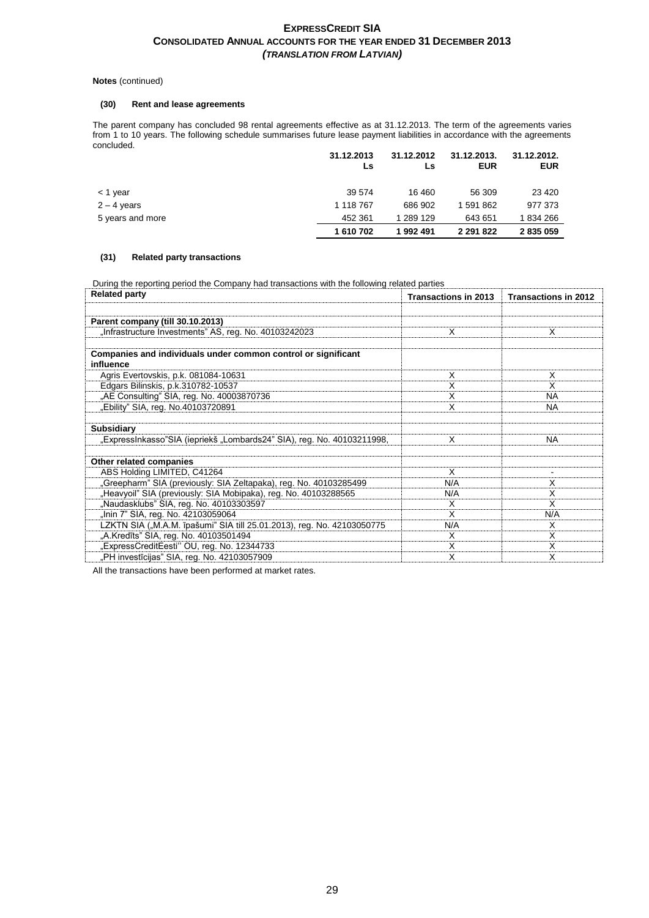**Notes** (continued)

#### **(30) Rent and lease agreements**

The parent company has concluded 98 rental agreements effective as at 31.12.2013. The term of the agreements varies from 1 to 10 years. The following schedule summarises future lease payment liabilities in accordance with the agreements concluded.

|                  | 31.12.2013<br>Ls | 31.12.2012<br>Ls | 31.12.2013.<br><b>EUR</b> | 31.12.2012.<br><b>EUR</b> |
|------------------|------------------|------------------|---------------------------|---------------------------|
| < 1 year         | 39 574           | 16 460           | 56 309                    | 23 4 20                   |
| $2 - 4$ years    | 1 118 767        | 686 902          | 1 591 862                 | 977 373                   |
| 5 years and more | 452 361          | 1 289 129        | 643 651                   | 1834266                   |
|                  | 1 610 702        | 1992491          | 2 291 822                 | 2 835 059                 |

### **(31) Related party transactions**

| During the reporting period the Company had transactions with the following related parties |                             |                             |  |  |  |  |  |
|---------------------------------------------------------------------------------------------|-----------------------------|-----------------------------|--|--|--|--|--|
| <b>Related party</b>                                                                        | <b>Transactions in 2013</b> | <b>Transactions in 2012</b> |  |  |  |  |  |
|                                                                                             |                             |                             |  |  |  |  |  |
| Parent company (till 30.10.2013)                                                            |                             |                             |  |  |  |  |  |
| "Infrastructure Investments" AS, reg. No. 40103242023                                       | X                           | X                           |  |  |  |  |  |
|                                                                                             |                             |                             |  |  |  |  |  |
| Companies and individuals under common control or significant<br>influence                  |                             |                             |  |  |  |  |  |
| Agris Evertovskis, p.k. 081084-10631                                                        | X                           | X                           |  |  |  |  |  |
| Edgars Bilinskis, p.k.310782-10537                                                          | X                           | x                           |  |  |  |  |  |
| "AE Consulting" SIA, reg. No. 40003870736                                                   | X                           | <b>NA</b>                   |  |  |  |  |  |
| "Ebility" SIA, reg. No.40103720891                                                          | X                           | <b>NA</b>                   |  |  |  |  |  |
|                                                                                             |                             |                             |  |  |  |  |  |
| <b>Subsidiary</b>                                                                           |                             |                             |  |  |  |  |  |
| "Expresslnkasso"SIA (iepriekš "Lombards24" SIA), reg. No. 40103211998,                      | X                           | <b>NA</b>                   |  |  |  |  |  |
| Other related companies                                                                     |                             |                             |  |  |  |  |  |
| ABS Holding LIMITED, C41264                                                                 | X                           |                             |  |  |  |  |  |
| "Greepharm" SIA (previously: SIA Zeltapaka), reg. No. 40103285499                           | N/A                         | X                           |  |  |  |  |  |
| "Heavyoil" SIA (previously: SIA Mobipaka), reg. No. 40103288565                             | N/A                         | x                           |  |  |  |  |  |
| "Naudasklubs" SIA, reg. No. 40103303597                                                     | X                           | X                           |  |  |  |  |  |
| "Inin 7" SIA, reg. No. 42103059064                                                          | X                           | N/A                         |  |  |  |  |  |
| LZKTN SIA ("M.A.M. īpašumi" SIA till 25.01.2013), reg. No. 42103050775                      | N/A                         | X                           |  |  |  |  |  |
| "A.Kredīts" SIA, reg. No. 40103501494                                                       | X                           | X                           |  |  |  |  |  |
| "ExpressCreditEesti" OU, reg. No. 12344733                                                  | X                           | X                           |  |  |  |  |  |
| "PH investīcijas" SIA, reg. No. 42103057909                                                 | X                           | X                           |  |  |  |  |  |

All the transactions have been performed at market rates.